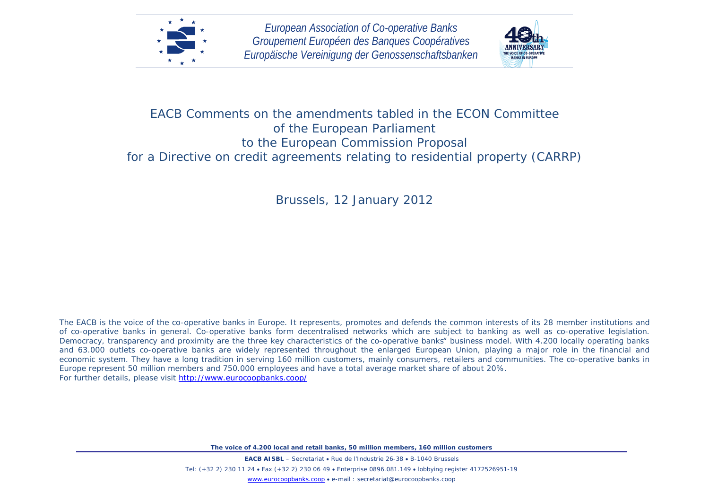



## EACB Comments on the amendments tabled in the ECON Committee of the European Parliament to the European Commission Proposal for a Directive on credit agreements relating to residential property (CARRP)

Brussels, 12 January 2012

The EACB is the voice of the co-operative banks in Europe. It represents, promotes and defends the common interests of its 28 member institutions and of co-operative banks in general. Co-operative banks form decentralised networks which are subject to banking as well as co-operative legislation. Democracy, transparency and proximity are the three key characteristics of the co-operative banks" business model. With 4.200 locally operating banks and 63.000 outlets co-operative banks are widely represented throughout the enlarged European Union, playing a major role in the financial and economic system. They have a long tradition in serving 160 million customers, mainly consumers, retailers and communities. The co-operative banks in Europe represent 50 million members and 750.000 employees and have a total average market share of about 20%. For further details, please visit<http://www.eurocoopbanks.coop/>

*The voice of 4.200 local and retail banks, 50 million members, 160 million customers*

**EACB AISBL** – Secretariat • Rue de l'Industrie 26-38 • B-1040 Brussels Tel: (+32 2) 230 11 24 • Fax (+32 2) 230 06 49 • Enterprise 0896.081.149 • lobbying register 4172526951-19 [www.eurocoopbanks.coop](http://www.eurocoopbanks.coop/) • e-mail : secretariat@eurocoopbanks.coop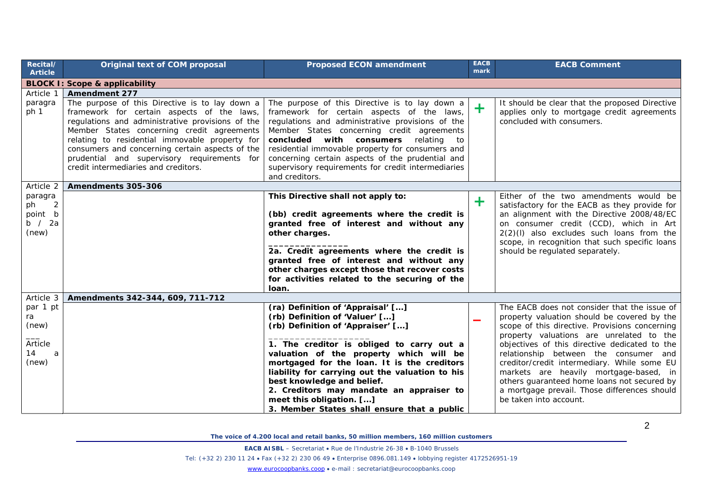| <b>Original text of COM proposal</b>                                                                                                                                                                                                                                                                                                                                                       | <b>Proposed ECON amendment</b>                                                                                                                                                                                                                                                                                                                                                                                               | <b>EACB</b><br>mark                         | <b>EACB Comment</b>                                                                                                                                                                                                                                                                                                                                                                                                                                                                                   |
|--------------------------------------------------------------------------------------------------------------------------------------------------------------------------------------------------------------------------------------------------------------------------------------------------------------------------------------------------------------------------------------------|------------------------------------------------------------------------------------------------------------------------------------------------------------------------------------------------------------------------------------------------------------------------------------------------------------------------------------------------------------------------------------------------------------------------------|---------------------------------------------|-------------------------------------------------------------------------------------------------------------------------------------------------------------------------------------------------------------------------------------------------------------------------------------------------------------------------------------------------------------------------------------------------------------------------------------------------------------------------------------------------------|
| <b>BLOCK I: Scope &amp; applicability</b>                                                                                                                                                                                                                                                                                                                                                  |                                                                                                                                                                                                                                                                                                                                                                                                                              |                                             |                                                                                                                                                                                                                                                                                                                                                                                                                                                                                                       |
| <b>Amendment 277</b>                                                                                                                                                                                                                                                                                                                                                                       |                                                                                                                                                                                                                                                                                                                                                                                                                              |                                             |                                                                                                                                                                                                                                                                                                                                                                                                                                                                                                       |
| The purpose of this Directive is to lay down a<br>framework for certain aspects of the laws,<br>regulations and administrative provisions of the<br>Member States concerning credit agreements<br>relating to residential immovable property for<br>consumers and concerning certain aspects of the<br>prudential and supervisory requirements for<br>credit intermediaries and creditors. | The purpose of this Directive is to lay down a<br>framework for certain aspects of the laws,<br>regulations and administrative provisions of the<br>Member States concerning credit agreements<br>with consumers relating<br>concluded<br>to<br>residential immovable property for consumers and<br>concerning certain aspects of the prudential and<br>supervisory requirements for credit intermediaries<br>and creditors. | $\div$                                      | It should be clear that the proposed Directive<br>applies only to mortgage credit agreements<br>concluded with consumers.                                                                                                                                                                                                                                                                                                                                                                             |
| Amendments 305-306                                                                                                                                                                                                                                                                                                                                                                         |                                                                                                                                                                                                                                                                                                                                                                                                                              |                                             |                                                                                                                                                                                                                                                                                                                                                                                                                                                                                                       |
|                                                                                                                                                                                                                                                                                                                                                                                            | This Directive shall not apply to:<br>(bb) credit agreements where the credit is<br>granted free of interest and without any<br>other charges.<br>2a. Credit agreements where the credit is<br>granted free of interest and without any<br>other charges except those that recover costs<br>for activities related to the securing of the<br>loan.                                                                           | $\ddot{}$                                   | Either of the two amendments would be<br>satisfactory for the EACB as they provide for<br>an alignment with the Directive 2008/48/EC<br>on consumer credit (CCD), which in Art<br>$2(2)(I)$ also excludes such loans from the<br>scope, in recognition that such specific loans<br>should be regulated separately.                                                                                                                                                                                    |
| Amendments 342-344, 609, 711-712                                                                                                                                                                                                                                                                                                                                                           |                                                                                                                                                                                                                                                                                                                                                                                                                              |                                             |                                                                                                                                                                                                                                                                                                                                                                                                                                                                                                       |
|                                                                                                                                                                                                                                                                                                                                                                                            | (ra) Definition of 'Appraisal' []<br>(rb) Definition of 'Valuer' []<br>(rb) Definition of 'Appraiser' []<br>1. The creditor is obliged to carry out a<br>valuation of the property which will be<br>mortgaged for the loan. It is the creditors<br>liability for carrying out the valuation to his<br>best knowledge and belief.<br>2. Creditors may mandate an appraiser to<br>meet this obligation. []                     |                                             | The EACB does not consider that the issue of<br>property valuation should be covered by the<br>scope of this directive. Provisions concerning<br>property valuations are unrelated to the<br>objectives of this directive dedicated to the<br>relationship between the consumer and<br>creditor/credit intermediary. While some EU<br>markets are heavily mortgage-based, in<br>others guaranteed home loans not secured by<br>a mortgage prevail. Those differences should<br>be taken into account. |
|                                                                                                                                                                                                                                                                                                                                                                                            |                                                                                                                                                                                                                                                                                                                                                                                                                              | 3. Member States shall ensure that a public |                                                                                                                                                                                                                                                                                                                                                                                                                                                                                                       |

**EACB AISBL** – Secretariat • Rue de l'Industrie 26-38 • B-1040 Brussels

Tel: (+32 2) 230 11 24 • Fax (+32 2) 230 06 49 • Enterprise 0896.081.149 • lobbying register 4172526951-19

[www.eurocoopbanks.coop](http://www.eurocoopbanks.coop/) • e-mail : secretariat@eurocoopbanks.coop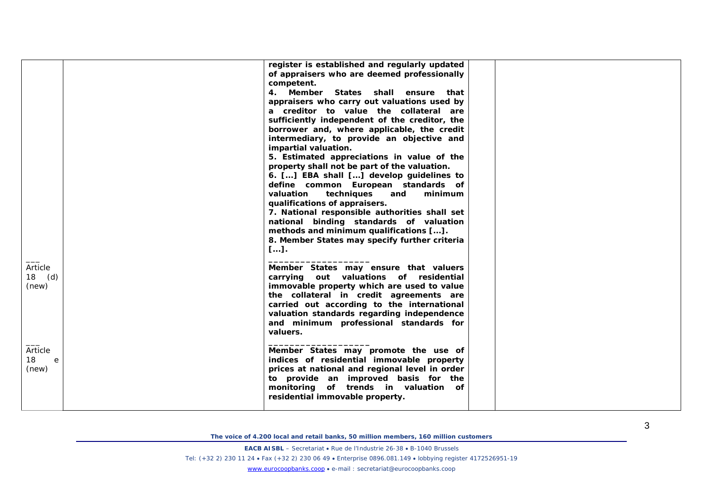|                              | register is established and regularly updated<br>of appraisers who are deemed professionally<br>competent.<br>4. Member States shall ensure that<br>appraisers who carry out valuations used by<br>a creditor to value the collateral are<br>sufficiently independent of the creditor, the<br>borrower and, where applicable, the credit<br>intermediary, to provide an objective and<br><i>impartial valuation.</i><br>5. Estimated appreciations in value of the<br>property shall not be part of the valuation.<br>6. [] EBA shall [] develop guidelines to<br>define common European standards of<br>valuation techniques<br>and<br>minimum<br>qualifications of appraisers.<br>7. National responsible authorities shall set<br>national binding standards of valuation<br>methods and minimum qualifications [].<br>8. Member States may specify further criteria |  |
|------------------------------|-------------------------------------------------------------------------------------------------------------------------------------------------------------------------------------------------------------------------------------------------------------------------------------------------------------------------------------------------------------------------------------------------------------------------------------------------------------------------------------------------------------------------------------------------------------------------------------------------------------------------------------------------------------------------------------------------------------------------------------------------------------------------------------------------------------------------------------------------------------------------|--|
| Article<br>$18$ (d)<br>(new) | $[]$ .<br>Member States may ensure that valuers<br>carrying out valuations of residential<br>immovable property which are used to value<br>the collateral in credit agreements are<br>carried out according to the international<br>valuation standards regarding independence<br>and minimum professional standards for<br>valuers.                                                                                                                                                                                                                                                                                                                                                                                                                                                                                                                                    |  |
| Article<br>18<br>e<br>(new)  | Member States may promote the use of<br>indices of residential immovable property<br>prices at national and regional level in order<br>to provide an improved basis for the<br>monitoring of trends in valuation of<br>residential immovable property.                                                                                                                                                                                                                                                                                                                                                                                                                                                                                                                                                                                                                  |  |

**EACB AISBL** – Secretariat • Rue de l'Industrie 26-38 • B-1040 Brussels Tel: (+32 2) 230 11 24 • Fax (+32 2) 230 06 49 • Enterprise 0896.081.149 • lobbying register 4172526951 -19 [www.eurocoopbanks.coop](http://www.eurocoopbanks.coop/) • e-mail : secretariat@eurocoopbanks.coop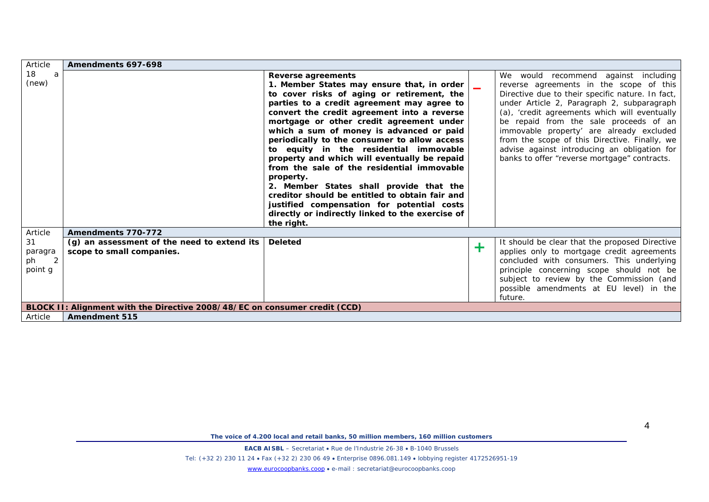| Article | Amendments 697-698                                                         |                                                  |           |                                                  |
|---------|----------------------------------------------------------------------------|--------------------------------------------------|-----------|--------------------------------------------------|
| 18<br>a |                                                                            | Reverse agreements                               |           | We would recommend against including             |
| (new)   |                                                                            | 1. Member States may ensure that, in order       |           | reverse agreements in the scope of this          |
|         |                                                                            | to cover risks of aging or retirement, the       |           | Directive due to their specific nature. In fact, |
|         |                                                                            | parties to a credit agreement may agree to       |           | under Article 2, Paragraph 2, subparagraph       |
|         |                                                                            | convert the credit agreement into a reverse      |           | (a), 'credit agreements which will eventually    |
|         |                                                                            | mortgage or other credit agreement under         |           | be repaid from the sale proceeds of an           |
|         |                                                                            | which a sum of money is advanced or paid         |           | immovable property' are already excluded         |
|         |                                                                            | periodically to the consumer to allow access     |           | from the scope of this Directive. Finally, we    |
|         |                                                                            | to equity in the residential immovable           |           | advise against introducing an obligation for     |
|         |                                                                            | property and which will eventually be repaid     |           | banks to offer "reverse mortgage" contracts.     |
|         |                                                                            | from the sale of the residential immovable       |           |                                                  |
|         |                                                                            | property.                                        |           |                                                  |
|         |                                                                            | 2. Member States shall provide that the          |           |                                                  |
|         |                                                                            | creditor should be entitled to obtain fair and   |           |                                                  |
|         |                                                                            | justified compensation for potential costs       |           |                                                  |
|         |                                                                            | directly or indirectly linked to the exercise of |           |                                                  |
|         |                                                                            | the right.                                       |           |                                                  |
| Article | Amendments 770-772                                                         |                                                  |           |                                                  |
| 31      | (a) an assessment of the need to extend its                                | <b>Deleted</b>                                   | $\ddot{}$ | It should be clear that the proposed Directive   |
| paragra | scope to small companies.                                                  |                                                  |           | applies only to mortgage credit agreements       |
| 2<br>ph |                                                                            |                                                  |           | concluded with consumers. This underlying        |
| point g |                                                                            |                                                  |           | principle concerning scope should not be         |
|         |                                                                            |                                                  |           | subject to review by the Commission (and         |
|         |                                                                            |                                                  |           | possible amendments at EU level) in the          |
|         |                                                                            |                                                  |           | future.                                          |
|         | BLOCK II: Alignment with the Directive 2008/48/EC on consumer credit (CCD) |                                                  |           |                                                  |
| Article | <b>Amendment 515</b>                                                       |                                                  |           |                                                  |

**EACB AISBL** – Secretariat • Rue de l'Industrie 26-38 • B-1040 Brussels

Tel: (+32 2) 230 11 24 • Fax (+32 2) 230 06 49 • Enterprise 0896.081.149 • lobbying register 4172526951-19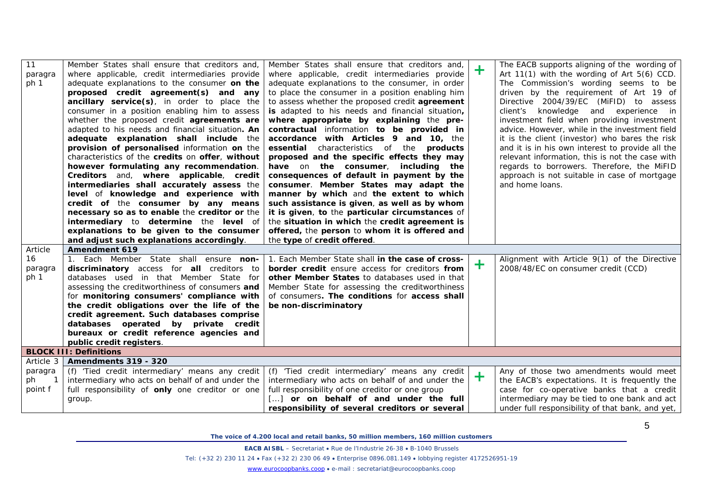| 11<br>paragra | Member States shall ensure that creditors and,<br>where applicable, credit intermediaries provide | Member States shall ensure that creditors and,<br>where applicable, credit intermediaries provide | $\pm$ | The EACB supports aligning of the wording of<br>Art 11(1) with the wording of Art 5(6) CCD. |
|---------------|---------------------------------------------------------------------------------------------------|---------------------------------------------------------------------------------------------------|-------|---------------------------------------------------------------------------------------------|
| ph 1          | adequate explanations to the consumer on the                                                      | adequate explanations to the consumer, in order                                                   |       | The Commission's wording seems to be                                                        |
|               | proposed credit agreement(s) and any                                                              | to place the consumer in a position enabling him                                                  |       | driven by the requirement of Art 19 of                                                      |
|               | ancillary service(s), in order to place the                                                       | to assess whether the proposed credit <i>agreement</i>                                            |       | Directive 2004/39/EC (MiFID) to assess                                                      |
|               | consumer in a position enabling him to assess                                                     | is adapted to his needs and financial situation,                                                  |       | client's knowledge and experience in                                                        |
|               | whether the proposed credit agreements are                                                        | where appropriate by explaining the pre-                                                          |       | investment field when providing investment                                                  |
|               | adapted to his needs and financial situation. An                                                  | contractual information to be provided in                                                         |       | advice. However, while in the investment field                                              |
|               | adequate explanation shall include the                                                            | accordance with Articles 9 and 10, the                                                            |       | it is the client (investor) who bares the risk                                              |
|               | provision of personalised information on the                                                      | essential characteristics of the products                                                         |       | and it is in his own interest to provide all the                                            |
|               | characteristics of the credits on offer, without                                                  | proposed and the specific effects they may                                                        |       | relevant information, this is not the case with                                             |
|               | however formulating any recommendation.                                                           | have on the consumer, including<br>the                                                            |       | regards to borrowers. Therefore, the MiFID                                                  |
|               | Creditors and, where applicable, credit                                                           | consequences of default in payment by the                                                         |       | approach is not suitable in case of mortgage                                                |
|               | intermediaries shall accurately assess the                                                        | consumer. Member States may adapt the                                                             |       | and home loans.                                                                             |
|               | level of knowledge and experience with                                                            | manner by which and the extent to which                                                           |       |                                                                                             |
|               | credit of the consumer by any means                                                               | such assistance is given, as well as by whom                                                      |       |                                                                                             |
|               | necessary so as to enable the creditor or the                                                     | it is given, to the particular circumstances of                                                   |       |                                                                                             |
|               | intermediary to determine the level of                                                            | the situation in which the credit agreement is                                                    |       |                                                                                             |
|               | explanations to be given to the consumer                                                          | offered, the person to whom it is offered and                                                     |       |                                                                                             |
|               | and adjust such explanations accordingly.                                                         | the type of credit offered.                                                                       |       |                                                                                             |
| Article       | Amendment 619                                                                                     |                                                                                                   |       |                                                                                             |
| 16            | 1. Each Member State shall ensure non-                                                            | 1. Each Member State shall in the case of cross-                                                  | $\pm$ | Alignment with Article 9(1) of the Directive                                                |
| paragra       | discriminatory access for all creditors to                                                        | border credit ensure access for creditors from                                                    |       | 2008/48/EC on consumer credit (CCD)                                                         |
| ph 1          | databases used in that Member State for                                                           | other Member States to databases used in that                                                     |       |                                                                                             |
|               | assessing the creditworthiness of consumers and                                                   | Member State for assessing the creditworthiness                                                   |       |                                                                                             |
|               | for monitoring consumers' compliance with                                                         | of consumers. The conditions for access shall                                                     |       |                                                                                             |
|               | the credit obligations over the life of the                                                       | be non-discriminatory                                                                             |       |                                                                                             |
|               | credit agreement. Such databases comprise                                                         |                                                                                                   |       |                                                                                             |
|               | databases operated by private credit                                                              |                                                                                                   |       |                                                                                             |
|               | bureaux or credit reference agencies and<br>public credit registers.                              |                                                                                                   |       |                                                                                             |
|               | <b>BLOCK III: Definitions</b>                                                                     |                                                                                                   |       |                                                                                             |
| Article 3     | Amendments 319 - 320                                                                              |                                                                                                   |       |                                                                                             |
| paragra       | (f) 'Tied credit intermediary' means any credit                                                   | (f) 'Tied credit intermediary' means any credit                                                   |       | Any of those two amendments would meet                                                      |
| ph            | intermediary who acts on behalf of and under the                                                  | intermediary who acts on behalf of and under the                                                  | $\pm$ | the EACB's expectations. It is frequently the                                               |
| point f       | full responsibility of <b>only</b> one creditor or one                                            | full responsibility of one creditor or one group                                                  |       | case for co-operative banks that a credit                                                   |
|               | group.                                                                                            | [] or on behalf of and under the full                                                             |       | intermediary may be tied to one bank and act                                                |
|               |                                                                                                   | responsibility of several creditors or several                                                    |       | under full responsibility of that bank, and yet,                                            |

**EACB AISBL** – Secretariat • Rue de l'Industrie 26-38 • B-1040 Brussels

Tel: (+32 2) 230 11 24 • Fax (+32 2) 230 06 49 • Enterprise 0896.081.149 • lobbying register 4172526951-19

[www.eurocoopbanks.coop](http://www.eurocoopbanks.coop/) • e-mail : secretariat@eurocoopbanks.coop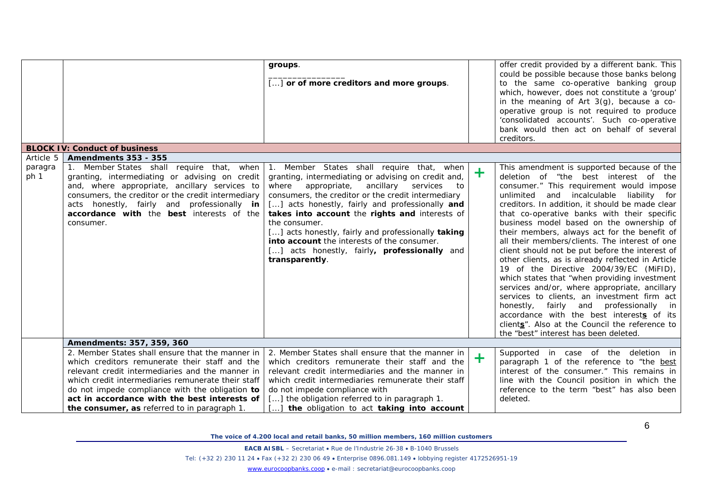|                              |                                                                                                                                                                                                                                                                                                                                                                 | groups.<br>[] or of more creditors and more groups.                                                                                                                                                                                                                                                                                                                                                                                                                                                                |         | offer credit provided by a different bank. This<br>could be possible because those banks belong<br>to the same co-operative banking group<br>which, however, does not constitute a 'group'<br>in the meaning of Art $3(g)$ , because a co-<br>operative group is not required to produce<br>'consolidated accounts'. Such co-operative<br>bank would then act on behalf of several<br>creditors.                                                                                                                                                                                                                                                                                                                                                                                                                                                                                                                       |
|------------------------------|-----------------------------------------------------------------------------------------------------------------------------------------------------------------------------------------------------------------------------------------------------------------------------------------------------------------------------------------------------------------|--------------------------------------------------------------------------------------------------------------------------------------------------------------------------------------------------------------------------------------------------------------------------------------------------------------------------------------------------------------------------------------------------------------------------------------------------------------------------------------------------------------------|---------|------------------------------------------------------------------------------------------------------------------------------------------------------------------------------------------------------------------------------------------------------------------------------------------------------------------------------------------------------------------------------------------------------------------------------------------------------------------------------------------------------------------------------------------------------------------------------------------------------------------------------------------------------------------------------------------------------------------------------------------------------------------------------------------------------------------------------------------------------------------------------------------------------------------------|
|                              | <b>BLOCK IV: Conduct of business</b>                                                                                                                                                                                                                                                                                                                            |                                                                                                                                                                                                                                                                                                                                                                                                                                                                                                                    |         |                                                                                                                                                                                                                                                                                                                                                                                                                                                                                                                                                                                                                                                                                                                                                                                                                                                                                                                        |
| Article 5<br>paragra<br>ph 1 | <b>Amendments 353 - 355</b><br>1. Member States shall require that, when<br>granting, intermediating or advising on credit<br>and, where appropriate, ancillary services to<br>consumers, the creditor or the credit intermediary<br>acts honestly, fairly and professionally in<br>accordance with the best interests of the<br>consumer.                      | 1. Member States shall require that, when<br>granting, intermediating or advising on credit and,<br>appropriate,<br>ancillary<br>where<br>services<br>to<br>consumers, the creditor or the credit intermediary<br>[] acts honestly, fairly and professionally and<br>takes into account the rights and interests of<br>the consumer.<br>[] acts honestly, fairly and professionally taking<br>into account the interests of the consumer.<br>[] acts honestly, fairly, <b>professionally</b> and<br>transparently. | $\ddag$ | This amendment is supported because of the<br>deletion of "the best interest of the<br>consumer." This requirement would impose<br>unlimited<br>and incalculable liability for<br>creditors. In addition, it should be made clear<br>that co-operative banks with their specific<br>business model based on the ownership of<br>their members, always act for the benefit of<br>all their members/clients. The interest of one<br>client should not be put before the interest of<br>other clients, as is already reflected in Article<br>19 of the Directive 2004/39/EC (MiFID),<br>which states that "when providing investment<br>services and/or, where appropriate, ancillary<br>services to clients, an investment firm act<br>honestly,<br>fairly and professionally in<br>accordance with the best interests of its<br>clients". Also at the Council the reference to<br>the "best" interest has been deleted. |
|                              | Amendments: 357, 359, 360                                                                                                                                                                                                                                                                                                                                       |                                                                                                                                                                                                                                                                                                                                                                                                                                                                                                                    |         |                                                                                                                                                                                                                                                                                                                                                                                                                                                                                                                                                                                                                                                                                                                                                                                                                                                                                                                        |
|                              | 2. Member States shall ensure that the manner in<br>which creditors remunerate their staff and the<br>relevant credit intermediaries and the manner in<br>which credit intermediaries remunerate their staff<br>do not impede compliance with the obligation to<br>act in accordance with the best interests of<br>the consumer, as referred to in paragraph 1. | 2. Member States shall ensure that the manner in<br>which creditors remunerate their staff and the<br>relevant credit intermediaries and the manner in<br>which credit intermediaries remunerate their staff<br>do not impede compliance with<br>[] the obligation referred to in paragraph 1.<br>the obligation to act taking into account                                                                                                                                                                        | $\pm$   | Supported in case of the deletion in<br>paragraph 1 of the reference to "the best<br>interest of the consumer." This remains in<br>line with the Council position in which the<br>reference to the term "best" has also been<br>deleted.                                                                                                                                                                                                                                                                                                                                                                                                                                                                                                                                                                                                                                                                               |

**EACB AISBL** – Secretariat • Rue de l'Industrie 26-38 • B-1040 Brussels

Tel: (+32 2) 230 11 24 • Fax (+32 2) 230 06 49 • Enterprise 0896.081.149 • lobbying register 4172526951-19

[www.eurocoopbanks.coop](http://www.eurocoopbanks.coop/) • e-mail : secretariat@eurocoopbanks.coop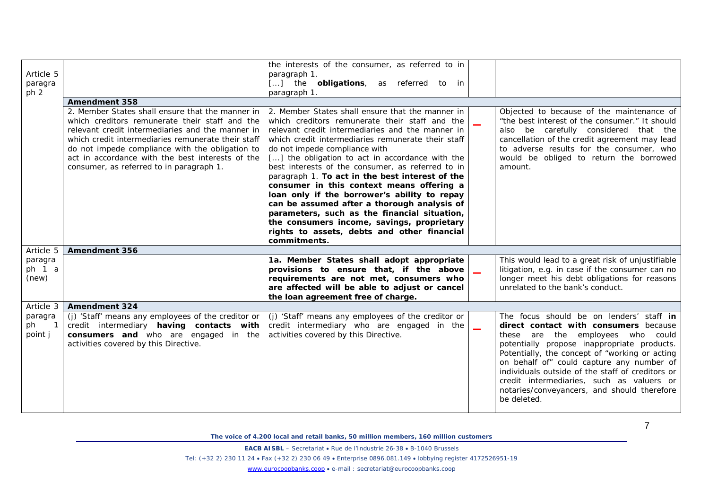| Article 5<br>paragra<br>ph <sub>2</sub>                |                                                                                                                                                                                                                                                                                                                                                                 | the interests of the consumer, as referred to in<br>paragraph 1.<br>[] the <b>obligations</b> , as referred to in<br>paragraph 1.                                                                                                                                                                                                                                                                                                                                                                                                                                                                                                                                                                                 |                          |                                                                                                                                                                                                                                                                                                                                                                                                                                     |
|--------------------------------------------------------|-----------------------------------------------------------------------------------------------------------------------------------------------------------------------------------------------------------------------------------------------------------------------------------------------------------------------------------------------------------------|-------------------------------------------------------------------------------------------------------------------------------------------------------------------------------------------------------------------------------------------------------------------------------------------------------------------------------------------------------------------------------------------------------------------------------------------------------------------------------------------------------------------------------------------------------------------------------------------------------------------------------------------------------------------------------------------------------------------|--------------------------|-------------------------------------------------------------------------------------------------------------------------------------------------------------------------------------------------------------------------------------------------------------------------------------------------------------------------------------------------------------------------------------------------------------------------------------|
|                                                        | <b>Amendment 358</b>                                                                                                                                                                                                                                                                                                                                            |                                                                                                                                                                                                                                                                                                                                                                                                                                                                                                                                                                                                                                                                                                                   |                          |                                                                                                                                                                                                                                                                                                                                                                                                                                     |
|                                                        | 2. Member States shall ensure that the manner in<br>which creditors remunerate their staff and the<br>relevant credit intermediaries and the manner in<br>which credit intermediaries remunerate their staff<br>do not impede compliance with the obligation to<br>act in accordance with the best interests of the<br>consumer, as referred to in paragraph 1. | 2. Member States shall ensure that the manner in<br>which creditors remunerate their staff and the<br>relevant credit intermediaries and the manner in<br>which credit intermediaries remunerate their staff<br>do not impede compliance with<br>[] the obligation to act in accordance with the<br>best interests of the consumer, as referred to in<br>paragraph 1. To act in the best interest of the<br>consumer in this context means offering a<br>loan only if the borrower's ability to repay<br>can be assumed after a thorough analysis of<br>parameters, such as the financial situation,<br>the consumers income, savings, proprietary<br>rights to assets, debts and other financial<br>commitments. |                          | Objected to because of the maintenance of<br>"the best interest of the consumer." It should<br>also be carefully considered that the<br>cancellation of the credit agreement may lead<br>to adverse results for the consumer, who<br>would be obliged to return the borrowed<br>amount.                                                                                                                                             |
| Article 5                                              | <b>Amendment 356</b>                                                                                                                                                                                                                                                                                                                                            |                                                                                                                                                                                                                                                                                                                                                                                                                                                                                                                                                                                                                                                                                                                   |                          |                                                                                                                                                                                                                                                                                                                                                                                                                                     |
| paragra<br>ph $1$ a<br>(new)                           |                                                                                                                                                                                                                                                                                                                                                                 | 1a. Member States shall adopt appropriate<br>provisions to ensure that, if the above<br>requirements are not met, consumers who<br>are affected will be able to adjust or cancel<br>the loan agreement free of charge.                                                                                                                                                                                                                                                                                                                                                                                                                                                                                            |                          | This would lead to a great risk of unjustifiable<br>litigation, e.g. in case if the consumer can no<br>longer meet his debt obligations for reasons<br>unrelated to the bank's conduct.                                                                                                                                                                                                                                             |
| Article 3                                              | <b>Amendment 324</b>                                                                                                                                                                                                                                                                                                                                            |                                                                                                                                                                                                                                                                                                                                                                                                                                                                                                                                                                                                                                                                                                                   |                          |                                                                                                                                                                                                                                                                                                                                                                                                                                     |
| paragra<br>ph<br>$\overline{\phantom{0}}$ 1<br>point j | (j) 'Staff' means any employees of the creditor or<br>credit intermediary having contacts with<br>consumers and who are engaged in the<br>activities covered by this Directive.                                                                                                                                                                                 | (j) 'Staff' means any employees of the creditor or<br>credit intermediary who are engaged in the<br>activities covered by this Directive.                                                                                                                                                                                                                                                                                                                                                                                                                                                                                                                                                                         | $\overline{\phantom{a}}$ | The focus should be on lenders' staff in<br>direct contact with consumers because<br>these are the employees who could<br>potentially propose inappropriate products.<br>Potentially, the concept of "working or acting<br>on behalf of" could capture any number of<br>individuals outside of the staff of creditors or<br>credit intermediaries, such as valuers or<br>notaries/conveyancers, and should therefore<br>be deleted. |

**EACB AISBL** – Secretariat • Rue de l'Industrie 26-38 • B-1040 Brussels

Tel: (+32 2) 230 11 24 • Fax (+32 2) 230 06 49 • Enterprise 0896.081.149 • lobbying register 4172526951-19

[www.eurocoopbanks.coop](http://www.eurocoopbanks.coop/) • e-mail : secretariat@eurocoopbanks.coop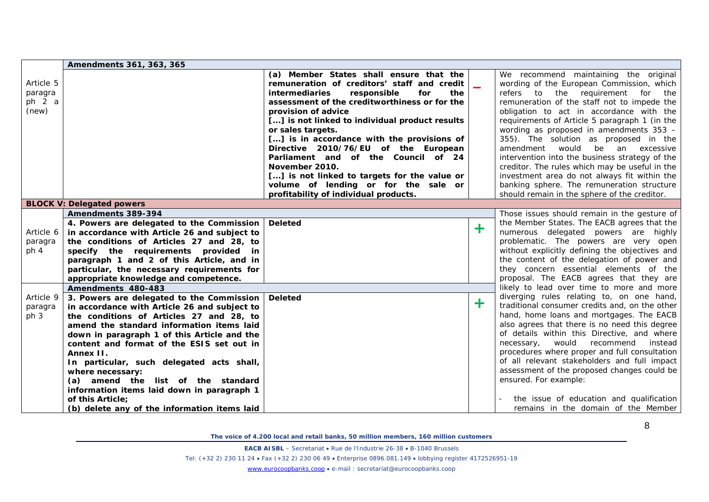|                 | Amendments 361, 363, 365                            |                                                    |   |                                                |
|-----------------|-----------------------------------------------------|----------------------------------------------------|---|------------------------------------------------|
|                 |                                                     | (a) Member States shall ensure that the            |   | We recommend maintaining the original          |
| Article 5       |                                                     | remuneration of creditors' staff and credit        |   | wording of the European Commission, which      |
| paragra         |                                                     | <i>intermediaries</i><br>responsible<br>for<br>the |   | refers to the requirement for the              |
| ph $2a$         |                                                     | assessment of the creditworthiness or for the      |   | remuneration of the staff not to impede the    |
| (new)           |                                                     | provision of advice                                |   | obligation to act in accordance with the       |
|                 |                                                     | [] is not linked to individual product results     |   | requirements of Article 5 paragraph 1 (in the  |
|                 |                                                     | or sales targets.                                  |   | wording as proposed in amendments $353 -$      |
|                 |                                                     | [] is in accordance with the provisions of         |   | 355). The solution as proposed in the          |
|                 |                                                     | Directive 2010/76/EU of the European               |   | amendment would be an excessive                |
|                 |                                                     | Parliament and of the Council of 24                |   | intervention into the business strategy of the |
|                 |                                                     | November 2010.                                     |   | creditor. The rules which may be useful in the |
|                 |                                                     | [] is not linked to targets for the value or       |   | investment area do not always fit within the   |
|                 |                                                     | volume of lending or for the sale or               |   | banking sphere. The remuneration structure     |
|                 |                                                     | profitability of individual products.              |   | should remain in the sphere of the creditor.   |
|                 | <b>BLOCK V: Delegated powers</b>                    |                                                    |   |                                                |
|                 | Amendments 389-394                                  |                                                    |   | Those issues should remain in the gesture of   |
|                 | 4. Powers are delegated to the Commission   Deleted |                                                    |   | the Member States. The EACB agrees that the    |
| Article 6       | in accordance with Article 26 and subject to        |                                                    | ╋ | numerous delegated powers are highly           |
| paragra         | the conditions of Articles 27 and 28, to            |                                                    |   | problematic. The powers are very open          |
| ph <sub>4</sub> | specify the requirements provided in                |                                                    |   | without explicitly defining the objectives and |
|                 | paragraph 1 and 2 of this Article, and in           |                                                    |   | the content of the delegation of power and     |
|                 | particular, the necessary requirements for          |                                                    |   | they concern essential elements of the         |
|                 | appropriate knowledge and competence.               |                                                    |   | proposal. The EACB agrees that they are        |
|                 | Amendments 480-483                                  |                                                    |   | likely to lead over time to more and more      |
| Article 9       | 3. Powers are delegated to the Commission           | Deleted                                            |   | diverging rules relating to, on one hand,      |
| paragra         | in accordance with Article 26 and subject to        |                                                    | ╋ | traditional consumer credits and, on the other |
| ph 3            | the conditions of Articles 27 and 28, to            |                                                    |   | hand, home loans and mortgages. The EACB       |
|                 | amend the standard information items laid           |                                                    |   | also agrees that there is no need this degree  |
|                 | down in paragraph 1 of this Article and the         |                                                    |   | of details within this Directive, and where    |
|                 | content and format of the ESIS set out in           |                                                    |   | would recommend<br>necessary,<br>instead l     |
|                 | Annex II.                                           |                                                    |   | procedures where proper and full consultation  |
|                 | In particular, such delegated acts shall,           |                                                    |   | of all relevant stakeholders and full impact   |
|                 | where necessary:                                    |                                                    |   | assessment of the proposed changes could be    |
|                 | (a) amend the list of the standard                  |                                                    |   | ensured. For example:                          |
|                 | information items laid down in paragraph 1          |                                                    |   |                                                |
|                 | of this Article;                                    |                                                    |   | the issue of education and qualification       |
|                 | (b) delete any of the information items laid        |                                                    |   | remains in the domain of the Member            |

**EACB AISBL** – Secretariat • Rue de l'Industrie 26-38 • B-1040 Brussels

Tel: (+32 2) 230 11 24 • Fax (+32 2) 230 06 49 • Enterprise 0896.081.149 • lobbying register 4172526951-19

[www.eurocoopbanks.coop](http://www.eurocoopbanks.coop/) • e-mail : secretariat@eurocoopbanks.coop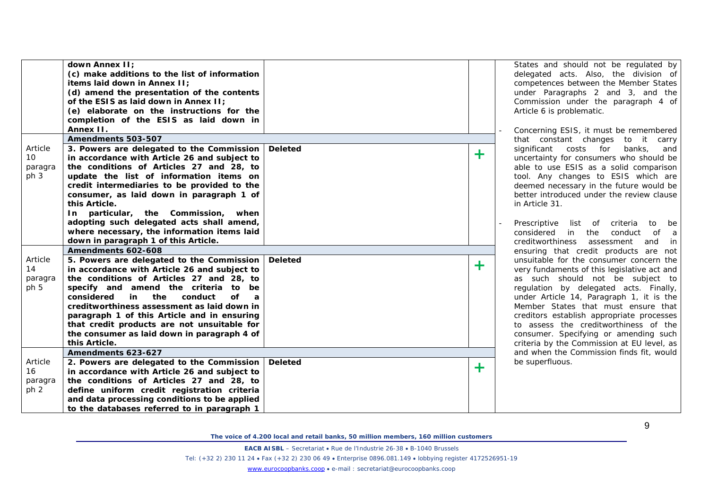|                                               | down Annex II:<br>(c) make additions to the list of information<br>items laid down in Annex II;<br>(d) amend the presentation of the contents<br>of the ESIS as laid down in Annex II;<br>(e) elaborate on the instructions for the<br>completion of the ESIS as laid down in<br>Annex II.                                                                                                                                                                    |                |   |  |
|-----------------------------------------------|---------------------------------------------------------------------------------------------------------------------------------------------------------------------------------------------------------------------------------------------------------------------------------------------------------------------------------------------------------------------------------------------------------------------------------------------------------------|----------------|---|--|
|                                               | Amendments 503-507                                                                                                                                                                                                                                                                                                                                                                                                                                            |                |   |  |
| Article<br>10 <sup>°</sup><br>paragra<br>ph 3 | 3. Powers are delegated to the Commission<br>in accordance with Article 26 and subject to<br>the conditions of Articles 27 and 28, to<br>update the list of information items on<br>credit intermediaries to be provided to the<br>consumer, as laid down in paragraph 1 of<br>this Article.                                                                                                                                                                  | <b>Deleted</b> | ╋ |  |
|                                               | In particular, the Commission,<br>when<br>adopting such delegated acts shall amend,<br>where necessary, the information items laid<br>down in paragraph 1 of this Article.                                                                                                                                                                                                                                                                                    |                |   |  |
|                                               | Amendments 602-608                                                                                                                                                                                                                                                                                                                                                                                                                                            |                |   |  |
| Article<br>14<br>paragra<br>ph 5              | 5. Powers are delegated to the Commission<br>in accordance with Article 26 and subject to<br>the conditions of Articles 27 and 28, to<br>specify and amend the criteria<br>to be<br>considered<br>the<br>conduct<br>in<br>оf<br>$\boldsymbol{a}$<br>creditworthiness assessment as laid down in<br>paragraph 1 of this Article and in ensuring<br>that credit products are not unsuitable for<br>the consumer as laid down in paragraph 4 of<br>this Article. | <b>Deleted</b> | ╋ |  |
|                                               | Amendments 623-627                                                                                                                                                                                                                                                                                                                                                                                                                                            |                |   |  |
| Article<br>16<br>paragra<br>ph <sub>2</sub>   | 2. Powers are delegated to the Commission<br>in accordance with Article 26 and subject to<br>the conditions of Articles 27 and 28, to<br>define uniform credit registration criteria<br>and data processing conditions to be applied<br>to the databases referred to in paragraph 1                                                                                                                                                                           | <b>Deleted</b> | ╋ |  |

States and should not be regulated by delegated acts. Also, the division of competences between the Member States under Paragraphs 2 and 3, and the Commission under the paragraph 4 of Article 6 is problematic.

- Concerning ESIS, it must be remembered that constant changes to it carry significant costs for banks, and uncertainty for consumers who should be able to use ESIS as a solid comparison tool. Any changes to ESIS which are deemed necessary in the future would be better introduced under the review clause in Article 31.
- Prescriptive list of criteria to be considered in the conduct of a creditworthiness assessment and in ensuring that credit products are not unsuitable for the consumer concern the very fundaments of this legislative act and as such should not be subject to regulation by delegated acts. Finally, under Article 14, Paragraph 1, it is the Member States that must ensure that creditors establish appropriate processes to assess the creditworthiness of the consumer. Specifying or amending such criteria by the Commission at EU level, as and when the Commission finds fit, would be superfluous.

*The voice of 4.200 local and retail banks, 50 million members, 160 million customers*

**EACB AISBL** – Secretariat • Rue de l'Industrie 26-38 • B-1040 Brussels

Tel: (+32 2) 230 11 24 • Fax (+32 2) 230 06 49 • Enterprise 0896.081.149 • lobbying register 4172526951-19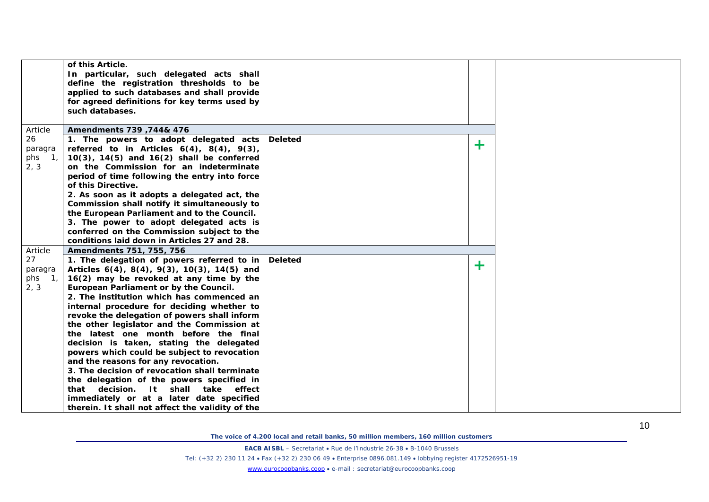|                                                             | of this Article.<br>In particular, such delegated acts shall<br>define the registration thresholds to be<br>applied to such databases and shall provide<br>for agreed definitions for key terms used by<br>such databases.                                                                                                                                                                                                                                                                                                                                                                                                                                                                                                                                                                                                           |         |       |  |
|-------------------------------------------------------------|--------------------------------------------------------------------------------------------------------------------------------------------------------------------------------------------------------------------------------------------------------------------------------------------------------------------------------------------------------------------------------------------------------------------------------------------------------------------------------------------------------------------------------------------------------------------------------------------------------------------------------------------------------------------------------------------------------------------------------------------------------------------------------------------------------------------------------------|---------|-------|--|
| Article                                                     | Amendments 739, 744& 476                                                                                                                                                                                                                                                                                                                                                                                                                                                                                                                                                                                                                                                                                                                                                                                                             |         |       |  |
| 26<br>paragra<br>phs<br>$\mathbf{1}_{1}$<br>2, 3            | 1. The powers to adopt delegated acts Deleted<br>referred to in Articles $6(4)$ , $8(4)$ , $9(3)$ ,<br>$10(3)$ , $14(5)$ and $16(2)$ shall be conferred<br>on the Commission for an indeterminate<br>period of time following the entry into force<br>of this Directive.<br>2. As soon as it adopts a delegated act, the<br>Commission shall notify it simultaneously to<br>the European Parliament and to the Council.<br>3. The power to adopt delegated acts is<br>conferred on the Commission subject to the<br>conditions laid down in Articles 27 and 28.                                                                                                                                                                                                                                                                      |         | $\pm$ |  |
|                                                             |                                                                                                                                                                                                                                                                                                                                                                                                                                                                                                                                                                                                                                                                                                                                                                                                                                      |         |       |  |
| Article<br>27<br>paragra<br>phs<br>$\mathbf{1}_{1}$<br>2, 3 | Amendments 751, 755, 756<br>1. The delegation of powers referred to in<br>Articles $6(4)$ , $8(4)$ , $9(3)$ , $10(3)$ , $14(5)$ and<br>16(2) may be revoked at any time by the<br>European Parliament or by the Council.<br>2. The institution which has commenced an<br>internal procedure for deciding whether to<br>revoke the delegation of powers shall inform<br>the other legislator and the Commission at<br>the latest one month before the final<br>decision is taken, stating the delegated<br>powers which could be subject to revocation<br>and the reasons for any revocation.<br>3. The decision of revocation shall terminate<br>the delegation of the powers specified in<br>that decision. It shall<br>take effect<br>immediately or at a later date specified<br>therein. It shall not affect the validity of the | Deleted | $\pm$ |  |

**EACB AISBL** – Secretariat • Rue de l'Industrie 26-38 • B-1040 Brussels

Tel: (+32 2) 230 11 24 • Fax (+32 2) 230 06 49 • Enterprise 0896.081.149 • lobbying register 4172526951-19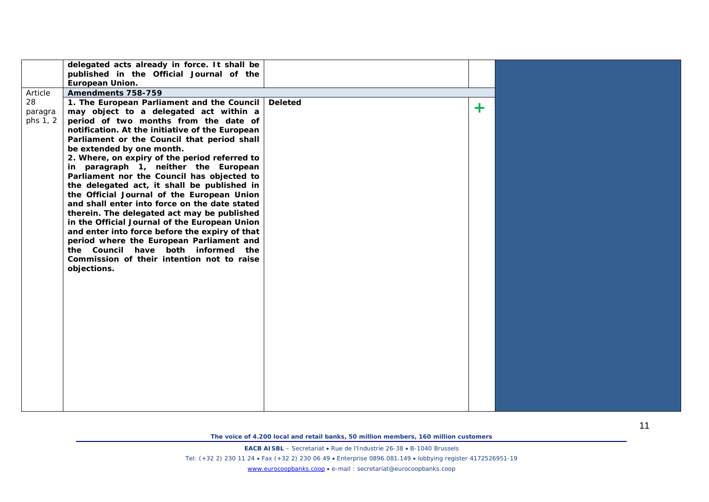|          | delegated acts already in force. It shall be    |         |       |  |
|----------|-------------------------------------------------|---------|-------|--|
|          | published in the Official Journal of the        |         |       |  |
|          | European Union.                                 |         |       |  |
| Article  | Amendments 758-759                              |         |       |  |
| 28       | 1. The European Parliament and the Council      | Deleted |       |  |
| paragra  | may object to a delegated act within a          |         | $\pm$ |  |
| phs 1, 2 | period of two months from the date of           |         |       |  |
|          | notification. At the initiative of the European |         |       |  |
|          | Parliament or the Council that period shall     |         |       |  |
|          | be extended by one month.                       |         |       |  |
|          | 2. Where, on expiry of the period referred to   |         |       |  |
|          | in paragraph 1, neither the European            |         |       |  |
|          | Parliament nor the Council has objected to      |         |       |  |
|          | the delegated act, it shall be published in     |         |       |  |
|          | the Official Journal of the European Union      |         |       |  |
|          | and shall enter into force on the date stated   |         |       |  |
|          | therein. The delegated act may be published     |         |       |  |
|          | in the Official Journal of the European Union   |         |       |  |
|          | and enter into force before the expiry of that  |         |       |  |
|          | period where the European Parliament and        |         |       |  |
|          | the Council have both informed the              |         |       |  |
|          | Commission of their intention not to raise      |         |       |  |
|          | objections.                                     |         |       |  |
|          |                                                 |         |       |  |
|          |                                                 |         |       |  |
|          |                                                 |         |       |  |
|          |                                                 |         |       |  |
|          |                                                 |         |       |  |
|          |                                                 |         |       |  |
|          |                                                 |         |       |  |
|          |                                                 |         |       |  |
|          |                                                 |         |       |  |
|          |                                                 |         |       |  |
|          |                                                 |         |       |  |
|          |                                                 |         |       |  |
|          |                                                 |         |       |  |
|          |                                                 |         |       |  |
|          |                                                 |         |       |  |

**EACB AISBL** – Secretariat • Rue de l'Industrie 26-38 • B-1040 Brussels Tel: (+32 2) 230 11 24 • Fax (+32 2) 230 06 49 • Enterprise 0896.081.149 • lobbying register 4172526951-19 [www.eurocoopbanks.coop](http://www.eurocoopbanks.coop/) • e-mail : secretariat@eurocoopbanks.coop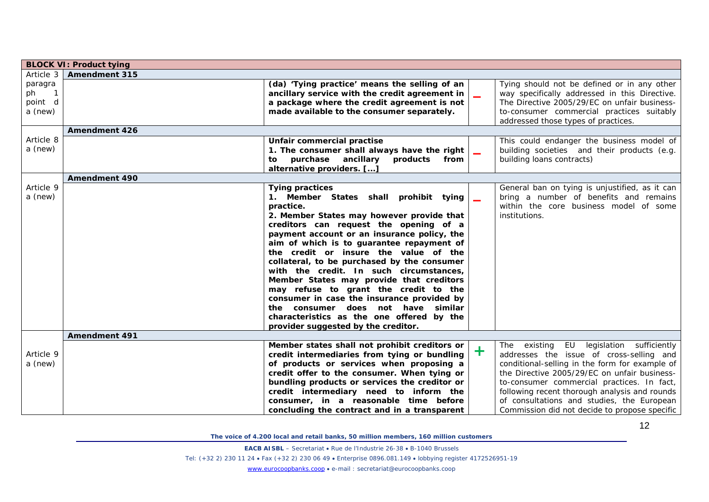|                                     | <b>BLOCK VI: Product tying</b> |                                                                                                                                                                                                                                                                                                                                                                                                                                                                                                                                                                                                                                                                 |                          |                                                                                                                                                                                                                                                                                       |
|-------------------------------------|--------------------------------|-----------------------------------------------------------------------------------------------------------------------------------------------------------------------------------------------------------------------------------------------------------------------------------------------------------------------------------------------------------------------------------------------------------------------------------------------------------------------------------------------------------------------------------------------------------------------------------------------------------------------------------------------------------------|--------------------------|---------------------------------------------------------------------------------------------------------------------------------------------------------------------------------------------------------------------------------------------------------------------------------------|
| Article 3                           | <b>Amendment 315</b>           |                                                                                                                                                                                                                                                                                                                                                                                                                                                                                                                                                                                                                                                                 |                          |                                                                                                                                                                                                                                                                                       |
| paragra<br>ph<br>point d<br>a (new) |                                | (da) 'Tying practice' means the selling of an<br>ancillary service with the credit agreement in<br>a package where the credit agreement is not<br>made available to the consumer separately.                                                                                                                                                                                                                                                                                                                                                                                                                                                                    |                          | Tying should not be defined or in any other<br>way specifically addressed in this Directive.<br>The Directive 2005/29/EC on unfair business-<br>to-consumer commercial practices suitably<br>addressed those types of practices.                                                      |
|                                     | <b>Amendment 426</b>           |                                                                                                                                                                                                                                                                                                                                                                                                                                                                                                                                                                                                                                                                 |                          |                                                                                                                                                                                                                                                                                       |
| Article 8<br>a (new)                |                                | Unfair commercial practise<br>1. The consumer shall always have the right<br>purchase ancillary products<br>from<br>to<br>alternative providers. []                                                                                                                                                                                                                                                                                                                                                                                                                                                                                                             | $\overline{\phantom{a}}$ | This could endanger the business model of<br>building societies and their products (e.g.<br>building loans contracts)                                                                                                                                                                 |
|                                     | <b>Amendment 490</b>           |                                                                                                                                                                                                                                                                                                                                                                                                                                                                                                                                                                                                                                                                 |                          |                                                                                                                                                                                                                                                                                       |
| Article 9<br>a (new)                |                                | <b>Tying practices</b><br>1. Member States shall prohibit tying<br>practice.<br>2. Member States may however provide that<br>creditors can request the opening of a<br>payment account or an insurance policy, the<br>aim of which is to guarantee repayment of<br>the credit or insure the value of the<br>collateral, to be purchased by the consumer<br>with the credit. In such circumstances,<br>Member States may provide that creditors<br>may refuse to grant the credit to the<br>consumer in case the insurance provided by<br>the consumer does not have similar<br>characteristics as the one offered by the<br>provider suggested by the creditor. |                          | General ban on tying is unjustified, as it can<br>bring a number of benefits and remains<br>within the core business model of some<br>institutions.                                                                                                                                   |
|                                     | <b>Amendment 491</b>           |                                                                                                                                                                                                                                                                                                                                                                                                                                                                                                                                                                                                                                                                 |                          |                                                                                                                                                                                                                                                                                       |
| Article 9<br>a (new)                |                                | Member states shall not prohibit creditors or<br>credit intermediaries from tying or bundling<br>of products or services when proposing a<br>credit offer to the consumer. When tying or<br>bundling products or services the creditor or<br>credit intermediary need to inform the                                                                                                                                                                                                                                                                                                                                                                             | $\ddag$                  | The existing EU legislation sufficiently<br>addresses the issue of cross-selling and<br>conditional-selling in the form for example of<br>the Directive 2005/29/EC on unfair business-<br>to-consumer commercial practices. In fact,<br>following recent thorough analysis and rounds |
|                                     |                                | consumer, in a reasonable time before<br>concluding the contract and in a transparent                                                                                                                                                                                                                                                                                                                                                                                                                                                                                                                                                                           |                          | of consultations and studies, the European<br>Commission did not decide to propose specific                                                                                                                                                                                           |

**EACB AISBL** – Secretariat • Rue de l'Industrie 26-38 • B-1040 Brussels

Tel: (+32 2) 230 11 24 • Fax (+32 2) 230 06 49 • Enterprise 0896.081.149 • lobbying register 4172526951-19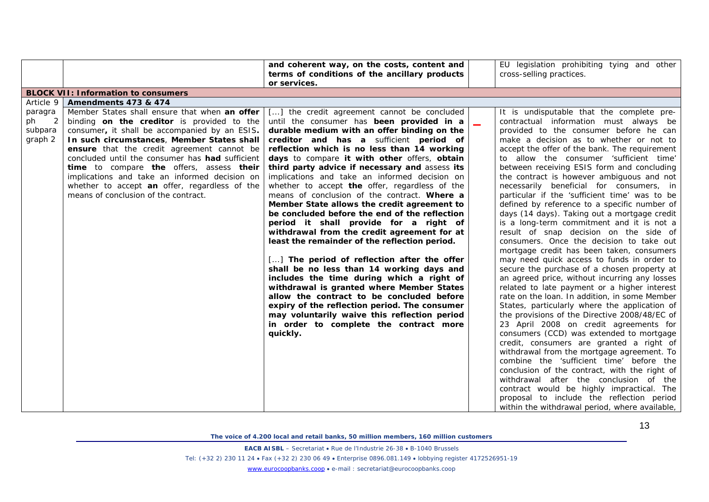|           |                                                                                           | and coherent way, on the costs, content and                                                     | EU legislation prohibiting tying and other                                                    |
|-----------|-------------------------------------------------------------------------------------------|-------------------------------------------------------------------------------------------------|-----------------------------------------------------------------------------------------------|
|           |                                                                                           | terms of conditions of the ancillary products                                                   | cross-selling practices.                                                                      |
|           |                                                                                           | or services.                                                                                    |                                                                                               |
|           | <b>BLOCK VII: Information to consumers</b>                                                |                                                                                                 |                                                                                               |
| Article 9 | Amendments 473 & 474                                                                      |                                                                                                 |                                                                                               |
| paragra   | Member States shall ensure that when an offer                                             | [] the credit agreement cannot be concluded                                                     | It is undisputable that the complete pre-                                                     |
| ph<br>2   | binding on the creditor is provided to the                                                | until the consumer has been provided in a                                                       | contractual information must always be                                                        |
| subpara   | consumer, it shall be accompanied by an ESIS.                                             | durable medium with an offer binding on the                                                     | provided to the consumer before he can                                                        |
| graph 2   | In such circumstances, Member States shall                                                | creditor and has a sufficient period of                                                         | make a decision as to whether or not to                                                       |
|           | ensure that the credit agreement cannot be                                                | reflection which is no less than 14 working                                                     | accept the offer of the bank. The requirement                                                 |
|           | concluded until the consumer has <b>had</b> sufficient                                    | days to compare it with other offers, obtain                                                    | to allow the consumer 'sufficient time'                                                       |
|           | time to compare the offers, assess their<br>implications and take an informed decision on | third party advice if necessary and assess its<br>implications and take an informed decision on | between receiving ESIS form and concluding<br>the contract is however ambiguous and not       |
|           | whether to accept an offer, regardless of the                                             | whether to accept the offer, regardless of the                                                  | necessarily beneficial for consumers, in                                                      |
|           | means of conclusion of the contract.                                                      | means of conclusion of the contract. Where a                                                    | particular if the 'sufficient time' was to be                                                 |
|           |                                                                                           | Member State allows the credit agreement to                                                     | defined by reference to a specific number of                                                  |
|           |                                                                                           | be concluded before the end of the reflection                                                   | days (14 days). Taking out a mortgage credit                                                  |
|           |                                                                                           | period it shall provide for a right of                                                          | is a long-term commitment and it is not a                                                     |
|           |                                                                                           | withdrawal from the credit agreement for at                                                     | result of snap decision on the side of                                                        |
|           |                                                                                           | least the remainder of the reflection period.                                                   | consumers. Once the decision to take out                                                      |
|           |                                                                                           |                                                                                                 | mortgage credit has been taken, consumers                                                     |
|           |                                                                                           | [] The period of reflection after the offer                                                     | may need quick access to funds in order to                                                    |
|           |                                                                                           | shall be no less than 14 working days and                                                       | secure the purchase of a chosen property at                                                   |
|           |                                                                                           | includes the time during which a right of                                                       | an agreed price, without incurring any losses                                                 |
|           |                                                                                           | withdrawal is granted where Member States<br>allow the contract to be concluded before          | related to late payment or a higher interest<br>rate on the loan. In addition, in some Member |
|           |                                                                                           | expiry of the reflection period. The consumer                                                   | States, particularly where the application of                                                 |
|           |                                                                                           | may voluntarily waive this reflection period                                                    | the provisions of the Directive 2008/48/EC of                                                 |
|           |                                                                                           | in order to complete the contract more                                                          | 23 April 2008 on credit agreements for                                                        |
|           |                                                                                           | quickly.                                                                                        | consumers (CCD) was extended to mortgage                                                      |
|           |                                                                                           |                                                                                                 | credit, consumers are granted a right of                                                      |
|           |                                                                                           |                                                                                                 | withdrawal from the mortgage agreement. To                                                    |
|           |                                                                                           |                                                                                                 | combine the 'sufficient time' before the                                                      |
|           |                                                                                           |                                                                                                 | conclusion of the contract, with the right of                                                 |
|           |                                                                                           |                                                                                                 | withdrawal after the conclusion of the                                                        |
|           |                                                                                           |                                                                                                 | contract would be highly impractical. The                                                     |
|           |                                                                                           |                                                                                                 | proposal to include the reflection period                                                     |
|           |                                                                                           |                                                                                                 | within the withdrawal period, where available,                                                |

**EACB AISBL** – Secretariat • Rue de l'Industrie 26-38 • B-1040 Brussels

Tel: (+32 2) 230 11 24 • Fax (+32 2) 230 06 49 • Enterprise 0896.081.149 • lobbying register 4172526951-19

[www.eurocoopbanks.coop](http://www.eurocoopbanks.coop/) • e-mail : secretariat@eurocoopbanks.coop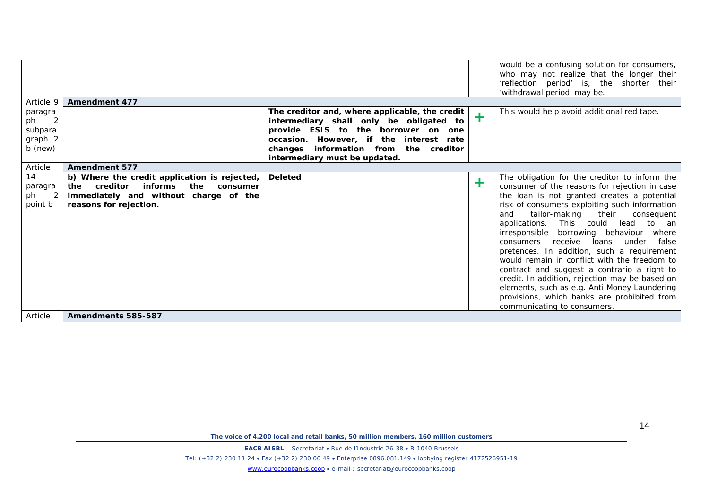| Article 9                                                      | <b>Amendment 477</b>                                                                                                                                 |                                                                                                                                                                                                                                                       |            | would be a confusing solution for consumers,<br>who may not realize that the longer their<br>'reflection period' is, the shorter their<br>'withdrawal period' may be.                                                                                                                                                                                                                                                                                                                                                                                                                                                                                                   |
|----------------------------------------------------------------|------------------------------------------------------------------------------------------------------------------------------------------------------|-------------------------------------------------------------------------------------------------------------------------------------------------------------------------------------------------------------------------------------------------------|------------|-------------------------------------------------------------------------------------------------------------------------------------------------------------------------------------------------------------------------------------------------------------------------------------------------------------------------------------------------------------------------------------------------------------------------------------------------------------------------------------------------------------------------------------------------------------------------------------------------------------------------------------------------------------------------|
| paragra<br>2<br>ph<br>subpara<br>graph 2<br>b (new)<br>Article | <b>Amendment 577</b>                                                                                                                                 | The creditor and, where applicable, the credit<br>intermediary shall only be obligated to<br>provide ESIS to the borrower on one<br>occasion. However, if the interest rate<br>changes information from the creditor<br>intermediary must be updated. | $\pm$      | This would help avoid additional red tape.                                                                                                                                                                                                                                                                                                                                                                                                                                                                                                                                                                                                                              |
| 14<br>paragra<br>$\overline{2}$<br>ph<br>point b               | b) Where the credit application is rejected,<br>the creditor informs the consumer<br>immediately and without charge of the<br>reasons for rejection. | <b>Deleted</b>                                                                                                                                                                                                                                        | $\ddagger$ | The obligation for the creditor to inform the<br>consumer of the reasons for rejection in case<br>the loan is not granted creates a potential<br>risk of consumers exploiting such information<br>tailor-making their<br>consequent<br>and<br>applications. This could lead to an<br>irresponsible borrowing behaviour where<br>loans under<br>consumers receive<br>false<br>pretences. In addition, such a requirement<br>would remain in conflict with the freedom to<br>contract and suggest a contrario a right to<br>credit. In addition, rejection may be based on<br>elements, such as e.g. Anti Money Laundering<br>provisions, which banks are prohibited from |
| Article                                                        | Amendments 585-587                                                                                                                                   |                                                                                                                                                                                                                                                       |            | communicating to consumers.                                                                                                                                                                                                                                                                                                                                                                                                                                                                                                                                                                                                                                             |

**EACB AISBL** – Secretariat • Rue de l'Industrie 26-38 • B-1040 Brussels Tel: (+32 2) 230 11 24 • Fax (+32 2) 230 06 49 • Enterprise 0896.081.149 • lobbying register 4172526951-19 [www.eurocoopbanks.coop](http://www.eurocoopbanks.coop/) • e-mail : secretariat@eurocoopbanks.coop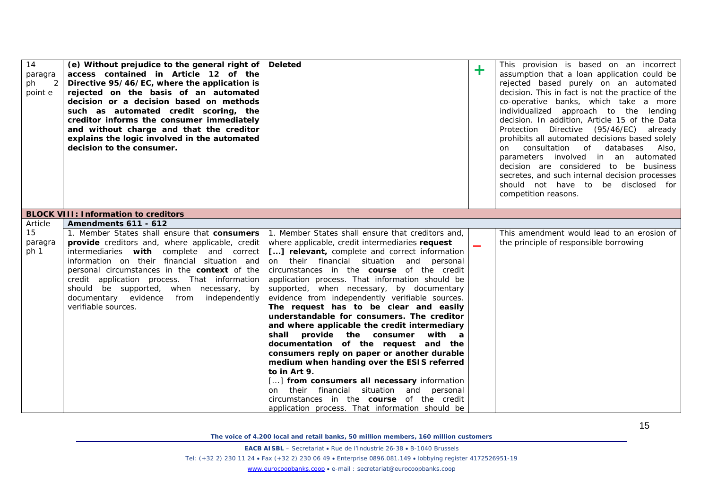| 14<br>paragra<br>ph<br>2<br>point e | (e) Without prejudice to the general right of   Deleted<br>access contained in Article 12 of the<br>Directive 95/46/EC, where the application is<br>rejected on the basis of an automated<br>decision or a decision based on methods<br>such as automated credit scoring, the<br>creditor informs the consumer immediately<br>and without charge and that the creditor<br>explains the logic involved in the automated<br>decision to the consumer. |                                                                                                                                                                                                                                                                                                                                                                                                                                                                                                                                                                                                                                                                                                                                                                                                                                                                                                                                                                                                   | ╋ | This provision is based on an incorrect<br>assumption that a loan application could be<br>rejected based purely on an automated<br>decision. This in fact is not the practice of the<br>co-operative banks, which take a more<br>individualized approach to the lending<br>decision. In addition, Article 15 of the Data<br>Protection Directive (95/46/EC) already<br>prohibits all automated decisions based solely<br>consultation of databases<br>Also,<br>on<br>parameters involved in an automated<br>decision are considered to be business<br>secretes, and such internal decision processes<br>should not have to be disclosed for<br>competition reasons. |
|-------------------------------------|-----------------------------------------------------------------------------------------------------------------------------------------------------------------------------------------------------------------------------------------------------------------------------------------------------------------------------------------------------------------------------------------------------------------------------------------------------|---------------------------------------------------------------------------------------------------------------------------------------------------------------------------------------------------------------------------------------------------------------------------------------------------------------------------------------------------------------------------------------------------------------------------------------------------------------------------------------------------------------------------------------------------------------------------------------------------------------------------------------------------------------------------------------------------------------------------------------------------------------------------------------------------------------------------------------------------------------------------------------------------------------------------------------------------------------------------------------------------|---|---------------------------------------------------------------------------------------------------------------------------------------------------------------------------------------------------------------------------------------------------------------------------------------------------------------------------------------------------------------------------------------------------------------------------------------------------------------------------------------------------------------------------------------------------------------------------------------------------------------------------------------------------------------------|
|                                     | <b>BLOCK VIII: Information to creditors</b>                                                                                                                                                                                                                                                                                                                                                                                                         |                                                                                                                                                                                                                                                                                                                                                                                                                                                                                                                                                                                                                                                                                                                                                                                                                                                                                                                                                                                                   |   |                                                                                                                                                                                                                                                                                                                                                                                                                                                                                                                                                                                                                                                                     |
| Article                             | Amendments 611 - 612                                                                                                                                                                                                                                                                                                                                                                                                                                |                                                                                                                                                                                                                                                                                                                                                                                                                                                                                                                                                                                                                                                                                                                                                                                                                                                                                                                                                                                                   |   |                                                                                                                                                                                                                                                                                                                                                                                                                                                                                                                                                                                                                                                                     |
| 15<br>paragra<br>ph 1               | <b>provide</b> creditors and, where applicable, credit<br>intermediaries with complete and correct<br>information on their financial situation and<br>personal circumstances in the context of the<br>credit application process. That information<br>should be supported, when necessary, by<br>documentary evidence from<br>independently<br>verifiable sources.                                                                                  | 1. Member States shall ensure that consumers 1. Member States shall ensure that creditors and,<br>where applicable, credit intermediaries request<br>[] relevant, complete and correct information<br>on their financial situation and personal<br>circumstances in the <b>course</b> of the credit<br>application process. That information should be<br>supported, when necessary, by documentary<br>evidence from independently verifiable sources.<br>The request has to be clear and easily<br>understandable for consumers. The creditor<br>and where applicable the credit intermediary<br>shall provide the consumer<br>with a<br>documentation of the request and the<br>consumers reply on paper or another durable<br>medium when handing over the ESIS referred<br>to in Art 9.<br>[] from consumers all necessary information<br>their financial situation and personal<br>on<br>circumstances in the <b>course</b> of the credit<br>application process. That information should be |   | This amendment would lead to an erosion of<br>the principle of responsible borrowing                                                                                                                                                                                                                                                                                                                                                                                                                                                                                                                                                                                |

**EACB AISBL** – Secretariat • Rue de l'Industrie 26-38 • B-1040 Brussels Tel: (+32 2) 230 11 24 • Fax (+32 2) 230 06 49 • Enterprise 0896.081.149 • lobbying register 4172526951-19 [www.eurocoopbanks.coop](http://www.eurocoopbanks.coop/) • e-mail : secretariat@eurocoopbanks.coop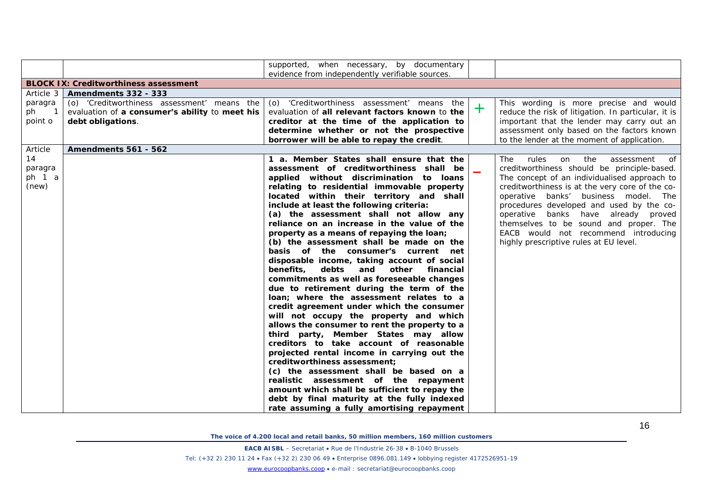|                                                                                                                                                                              | supported, when necessary, by documentary<br>evidence from independently verifiable sources.                                                                                                                                                                                                                                                                                                                                                                                                                                                                                                                                                                                                                                                                                                                                                                                                                                                                                                                                                                                                                                                                                                                                                                          |     |                                                                                                                                                                                                                                                                                                                                                                                                                                                       |
|------------------------------------------------------------------------------------------------------------------------------------------------------------------------------|-----------------------------------------------------------------------------------------------------------------------------------------------------------------------------------------------------------------------------------------------------------------------------------------------------------------------------------------------------------------------------------------------------------------------------------------------------------------------------------------------------------------------------------------------------------------------------------------------------------------------------------------------------------------------------------------------------------------------------------------------------------------------------------------------------------------------------------------------------------------------------------------------------------------------------------------------------------------------------------------------------------------------------------------------------------------------------------------------------------------------------------------------------------------------------------------------------------------------------------------------------------------------|-----|-------------------------------------------------------------------------------------------------------------------------------------------------------------------------------------------------------------------------------------------------------------------------------------------------------------------------------------------------------------------------------------------------------------------------------------------------------|
| <b>BLOCK IX: Creditworthiness assessment</b>                                                                                                                                 |                                                                                                                                                                                                                                                                                                                                                                                                                                                                                                                                                                                                                                                                                                                                                                                                                                                                                                                                                                                                                                                                                                                                                                                                                                                                       |     |                                                                                                                                                                                                                                                                                                                                                                                                                                                       |
| Amendments 332 - 333<br>Article 3                                                                                                                                            |                                                                                                                                                                                                                                                                                                                                                                                                                                                                                                                                                                                                                                                                                                                                                                                                                                                                                                                                                                                                                                                                                                                                                                                                                                                                       |     |                                                                                                                                                                                                                                                                                                                                                                                                                                                       |
| (o) 'Creditworthiness assessment' means the<br>paragra<br>ph<br>evaluation of a consumer's ability to meet his<br>$\overline{\phantom{0}}$ 1<br>point o<br>debt obligations. | (o) 'Creditworthiness assessment' means the<br>evaluation of all relevant factors known to the<br>creditor at the time of the application to<br>determine whether or not the prospective<br>borrower will be able to repay the credit.                                                                                                                                                                                                                                                                                                                                                                                                                                                                                                                                                                                                                                                                                                                                                                                                                                                                                                                                                                                                                                | $+$ | This wording is more precise and would<br>reduce the risk of litigation. In particular, it is<br>important that the lender may carry out an<br>assessment only based on the factors known<br>to the lender at the moment of application.                                                                                                                                                                                                              |
| Article<br><b>Amendments 561 - 562</b>                                                                                                                                       |                                                                                                                                                                                                                                                                                                                                                                                                                                                                                                                                                                                                                                                                                                                                                                                                                                                                                                                                                                                                                                                                                                                                                                                                                                                                       |     |                                                                                                                                                                                                                                                                                                                                                                                                                                                       |
| 14<br>paragra<br>ph 1 a<br>(new)                                                                                                                                             | 1 a. Member States shall ensure that the<br>assessment of creditworthiness shall be<br>applied without discrimination to loans<br>relating to residential immovable property<br>located within their territory and shall<br>include at least the following criteria:<br>(a) the assessment shall not allow any<br>reliance on an increase in the value of the<br>property as a means of repaying the loan;<br>(b) the assessment shall be made on the<br>basis of the consumer's current net<br>disposable income, taking account of social<br>benefits,<br>debts and other financial<br>commitments as well as foreseeable changes<br>due to retirement during the term of the<br>loan; where the assessment relates to a<br>credit agreement under which the consumer<br>will not occupy the property and which<br>allows the consumer to rent the property to a<br>third party, Member States may allow<br>creditors to take account of reasonable<br>projected rental income in carrying out the<br>creditworthiness assessment:<br>(c) the assessment shall be based on a<br>realistic assessment of the repayment<br>amount which shall be sufficient to repay the<br>debt by final maturity at the fully indexed<br>rate assuming a fully amortising repayment |     | of<br>rules<br>on the<br>assessment<br>The l<br>creditworthiness should be principle-based.<br>The concept of an individualised approach to<br>creditworthiness is at the very core of the co-<br>operative banks' business model. The<br>procedures developed and used by the co-<br>operative banks have already proved<br>themselves to be sound and proper. The<br>EACB would not recommend introducing<br>highly prescriptive rules at EU level. |

**EACB AISBL** – Secretariat • Rue de l'Industrie 26-38 • B-1040 Brussels

Tel: (+32 2) 230 11 24 • Fax (+32 2) 230 06 49 • Enterprise 0896.081.149 • lobbying register 4172526951-19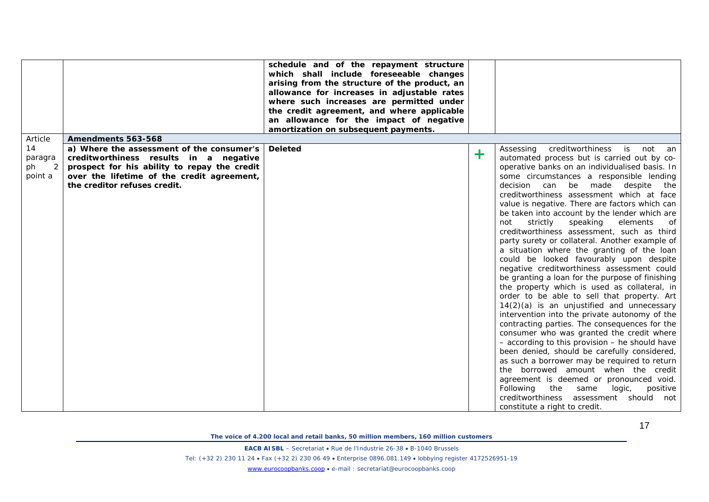|                                                                                                                                                                                                                                                          | schedule and of the repayment structure<br>which shall include foreseeable changes<br>arising from the structure of the product, an<br>allowance for increases in adjustable rates<br>where such increases are permitted under<br>the credit agreement, and where applicable<br>an allowance for the impact of negative |        |                                                                                                                                                                                                                                                                                                                                                                                                                                                                                                                                                                                                                                                                                                                                                                                                                                                                                                                                                                                                                                                                                                                                                                                                                                                                                                                                                                                 |
|----------------------------------------------------------------------------------------------------------------------------------------------------------------------------------------------------------------------------------------------------------|-------------------------------------------------------------------------------------------------------------------------------------------------------------------------------------------------------------------------------------------------------------------------------------------------------------------------|--------|---------------------------------------------------------------------------------------------------------------------------------------------------------------------------------------------------------------------------------------------------------------------------------------------------------------------------------------------------------------------------------------------------------------------------------------------------------------------------------------------------------------------------------------------------------------------------------------------------------------------------------------------------------------------------------------------------------------------------------------------------------------------------------------------------------------------------------------------------------------------------------------------------------------------------------------------------------------------------------------------------------------------------------------------------------------------------------------------------------------------------------------------------------------------------------------------------------------------------------------------------------------------------------------------------------------------------------------------------------------------------------|
|                                                                                                                                                                                                                                                          | amortization on subsequent payments.                                                                                                                                                                                                                                                                                    |        |                                                                                                                                                                                                                                                                                                                                                                                                                                                                                                                                                                                                                                                                                                                                                                                                                                                                                                                                                                                                                                                                                                                                                                                                                                                                                                                                                                                 |
| Article<br>Amendments 563-568                                                                                                                                                                                                                            |                                                                                                                                                                                                                                                                                                                         |        |                                                                                                                                                                                                                                                                                                                                                                                                                                                                                                                                                                                                                                                                                                                                                                                                                                                                                                                                                                                                                                                                                                                                                                                                                                                                                                                                                                                 |
| 14<br>a) Where the assessment of the consumer's<br>creditworthiness results in a negative<br>paragra<br>2<br>prospect for his ability to repay the credit<br>ph<br>point a<br>over the lifetime of the credit agreement,<br>the creditor refuses credit. | <b>Deleted</b>                                                                                                                                                                                                                                                                                                          | $\div$ | creditworthiness is not an<br>Assessing<br>automated process but is carried out by co-<br>operative banks on an individualised basis. In<br>some circumstances a responsible lending<br>decision can be made<br>despite<br>the<br>creditworthiness assessment which at face<br>value is negative. There are factors which can<br>be taken into account by the lender which are<br>not<br>strictly speaking<br>elements<br>of<br>creditworthiness assessment, such as third<br>party surety or collateral. Another example of<br>a situation where the granting of the loan<br>could be looked favourably upon despite<br>negative creditworthiness assessment could<br>be granting a loan for the purpose of finishing<br>the property which is used as collateral, in<br>order to be able to sell that property. Art<br>$14(2)(a)$ is an unjustified and unnecessary<br>intervention into the private autonomy of the<br>contracting parties. The consequences for the<br>consumer who was granted the credit where<br>- according to this provision - he should have<br>been denied, should be carefully considered,<br>as such a borrower may be required to return<br>the borrowed amount when the credit<br>agreement is deemed or pronounced void.<br>Following the same<br>logic,<br>positive<br>creditworthiness assessment should not<br>constitute a right to credit. |

**EACB AISBL** – Secretariat • Rue de l'Industrie 26-38 • B-1040 Brussels

Tel: (+32 2) 230 11 24 • Fax (+32 2) 230 06 49 • Enterprise 0896.081.149 • lobbying register 4172526951-19

[www.eurocoopbanks.coop](http://www.eurocoopbanks.coop/) • e-mail : secretariat@eurocoopbanks.coop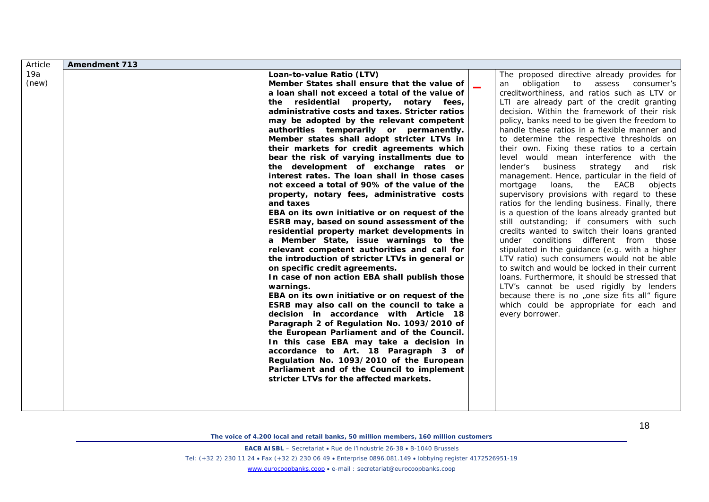| Article | <b>Amendment 713</b> |                                                 |                          |                                                 |
|---------|----------------------|-------------------------------------------------|--------------------------|-------------------------------------------------|
| 19a     |                      | Loan-to-value Ratio (LTV)                       |                          | The proposed directive already provides for     |
| (new)   |                      | Member States shall ensure that the value of    | $\overline{\phantom{a}}$ | obligation to<br>assess consumer's<br>an        |
|         |                      | a loan shall not exceed a total of the value of |                          | creditworthiness, and ratios such as LTV or     |
|         |                      | the residential property, notary fees,          |                          | LTI are already part of the credit granting     |
|         |                      | administrative costs and taxes. Stricter ratios |                          | decision. Within the framework of their risk    |
|         |                      | may be adopted by the relevant competent        |                          | policy, banks need to be given the freedom to   |
|         |                      | authorities temporarily or permanently.         |                          | handle these ratios in a flexible manner and    |
|         |                      | Member states shall adopt stricter LTVs in      |                          | to determine the respective thresholds on       |
|         |                      | their markets for credit agreements which       |                          | their own. Fixing these ratios to a certain     |
|         |                      | bear the risk of varying installments due to    |                          | level would mean interference with the          |
|         |                      | the development of exchange rates or            |                          | lender's business<br>strategy<br>and<br>risk    |
|         |                      | interest rates. The loan shall in those cases   |                          | management. Hence, particular in the field of   |
|         |                      | not exceed a total of 90% of the value of the   |                          | mortgage<br>loans,<br>the<br>EACB<br>objects    |
|         |                      | property, notary fees, administrative costs     |                          | supervisory provisions with regard to these     |
|         |                      | and taxes                                       |                          | ratios for the lending business. Finally, there |
|         |                      | EBA on its own initiative or on request of the  |                          | is a question of the loans already granted but  |
|         |                      | ESRB may, based on sound assessment of the      |                          | still outstanding; if consumers with such       |
|         |                      | residential property market developments in     |                          | credits wanted to switch their loans granted    |
|         |                      | a Member State, issue warnings to the           |                          | under conditions different from those           |
|         |                      | relevant competent authorities and call for     |                          | stipulated in the guidance (e.g. with a higher  |
|         |                      | the introduction of stricter LTVs in general or |                          | LTV ratio) such consumers would not be able     |
|         |                      | on specific credit agreements.                  |                          | to switch and would be locked in their current  |
|         |                      | In case of non action EBA shall publish those   |                          | loans. Furthermore, it should be stressed that  |
|         |                      | warnings.                                       |                          | LTV's cannot be used rigidly by lenders         |
|         |                      | EBA on its own initiative or on request of the  |                          | because there is no "one size fits all" figure  |
|         |                      | ESRB may also call on the council to take a     |                          | which could be appropriate for each and         |
|         |                      | decision in accordance with Article 18          |                          | every borrower.                                 |
|         |                      | Paragraph 2 of Regulation No. 1093/2010 of      |                          |                                                 |
|         |                      | the European Parliament and of the Council.     |                          |                                                 |
|         |                      | In this case EBA may take a decision in         |                          |                                                 |
|         |                      | accordance to Art. 18 Paragraph 3 of            |                          |                                                 |
|         |                      | Regulation No. 1093/2010 of the European        |                          |                                                 |
|         |                      | Parliament and of the Council to implement      |                          |                                                 |
|         |                      | stricter LTVs for the affected markets.         |                          |                                                 |
|         |                      |                                                 |                          |                                                 |
|         |                      |                                                 |                          |                                                 |
|         |                      |                                                 |                          |                                                 |

**EACB AISBL** – Secretariat • Rue de l'Industrie 26-38 • B-1040 Brussels

Tel: (+32 2) 230 11 24 • Fax (+32 2) 230 06 49 • Enterprise 0896.081.149 • lobbying register 4172526951-19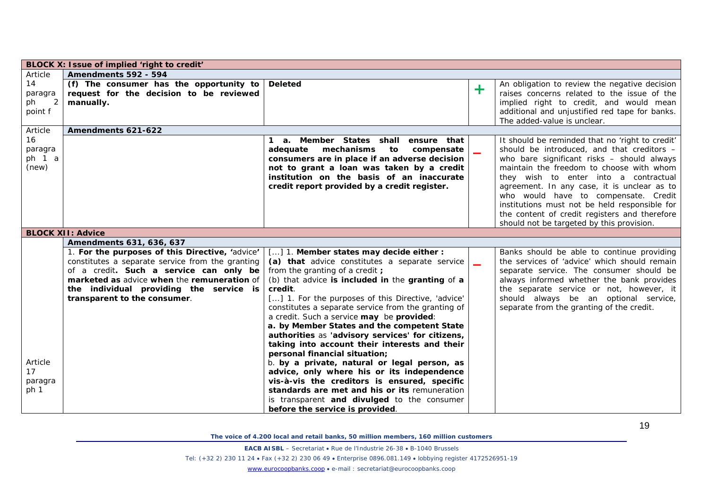|                                     | BLOCK X: Issue of implied 'right to credit'                                                                                                                                                                                                                              |                                                                                                                                                                                                                                                                                                                                                                                                                                                                                                           |                          |                                                                                                                                                                                                                                                                                                                                                                                                                                                                        |
|-------------------------------------|--------------------------------------------------------------------------------------------------------------------------------------------------------------------------------------------------------------------------------------------------------------------------|-----------------------------------------------------------------------------------------------------------------------------------------------------------------------------------------------------------------------------------------------------------------------------------------------------------------------------------------------------------------------------------------------------------------------------------------------------------------------------------------------------------|--------------------------|------------------------------------------------------------------------------------------------------------------------------------------------------------------------------------------------------------------------------------------------------------------------------------------------------------------------------------------------------------------------------------------------------------------------------------------------------------------------|
| Article                             | Amendments 592 - 594                                                                                                                                                                                                                                                     |                                                                                                                                                                                                                                                                                                                                                                                                                                                                                                           |                          |                                                                                                                                                                                                                                                                                                                                                                                                                                                                        |
| 14<br>paragra<br>ph<br>2<br>point f | (f) The consumer has the opportunity to $ $ Deleted<br>request for the decision to be reviewed<br>manually.                                                                                                                                                              |                                                                                                                                                                                                                                                                                                                                                                                                                                                                                                           | ÷                        | An obligation to review the negative decision<br>raises concerns related to the issue of the<br>implied right to credit, and would mean<br>additional and unjustified red tape for banks.<br>The added-value is unclear.                                                                                                                                                                                                                                               |
| Article                             | Amendments 621-622                                                                                                                                                                                                                                                       |                                                                                                                                                                                                                                                                                                                                                                                                                                                                                                           |                          |                                                                                                                                                                                                                                                                                                                                                                                                                                                                        |
| 16<br>paragra<br>ph 1 a<br>(new)    |                                                                                                                                                                                                                                                                          | 1 a. Member States shall ensure that<br>adequate mechanisms<br>to<br>compensate<br>consumers are in place if an adverse decision<br>not to grant a loan was taken by a credit<br>institution on the basis of an inaccurate<br>credit report provided by a credit register.                                                                                                                                                                                                                                | $\overline{\phantom{a}}$ | It should be reminded that no 'right to credit'<br>should be introduced, and that creditors -<br>who bare significant risks - should always<br>maintain the freedom to choose with whom<br>they wish to enter into a contractual<br>agreement. In any case, it is unclear as to<br>who would have to compensate. Credit<br>institutions must not be held responsible for<br>the content of credit registers and therefore<br>should not be targeted by this provision. |
|                                     | <b>BLOCK XII: Advice</b>                                                                                                                                                                                                                                                 |                                                                                                                                                                                                                                                                                                                                                                                                                                                                                                           |                          |                                                                                                                                                                                                                                                                                                                                                                                                                                                                        |
|                                     | Amendments 631, 636, 637                                                                                                                                                                                                                                                 |                                                                                                                                                                                                                                                                                                                                                                                                                                                                                                           |                          |                                                                                                                                                                                                                                                                                                                                                                                                                                                                        |
|                                     | 1. For the purposes of this Directive, 'advice'<br>constitutes a separate service from the granting<br>of a credit. Such a service can only be<br>marketed as advice when the remuneration of<br>the individual providing the service is<br>transparent to the consumer. | [] 1. Member states may decide either :<br>(a) that advice constitutes a separate service<br>from the granting of a credit ;<br>(b) that advice is included in the granting of a<br>credit.<br>[] 1. For the purposes of this Directive, 'advice'<br>constitutes a separate service from the granting of<br>a credit. Such a service may be provided:<br>a. by Member States and the competent State<br>authorities as 'advisory services' for citizens,<br>taking into account their interests and their | $\overline{\phantom{a}}$ | Banks should be able to continue providing<br>the services of 'advice' which should remain<br>separate service. The consumer should be<br>always informed whether the bank provides<br>the separate service or not, however, it<br>should always be an optional service,<br>separate from the granting of the credit.                                                                                                                                                  |
| Article<br>17<br>paragra<br>ph 1    |                                                                                                                                                                                                                                                                          | personal financial situation;<br>b. by a private, natural or legal person, as<br>advice, only where his or its independence<br>vis-à-vis the creditors is ensured, specific<br>standards are met and his or its remuneration<br>is transparent and divulged to the consumer<br>before the service is provided.                                                                                                                                                                                            |                          |                                                                                                                                                                                                                                                                                                                                                                                                                                                                        |

**EACB AISBL** – Secretariat • Rue de l'Industrie 26-38 • B-1040 Brussels

Tel: (+32 2) 230 11 24 • Fax (+32 2) 230 06 49 • Enterprise 0896.081.149 • lobbying register 4172526951-19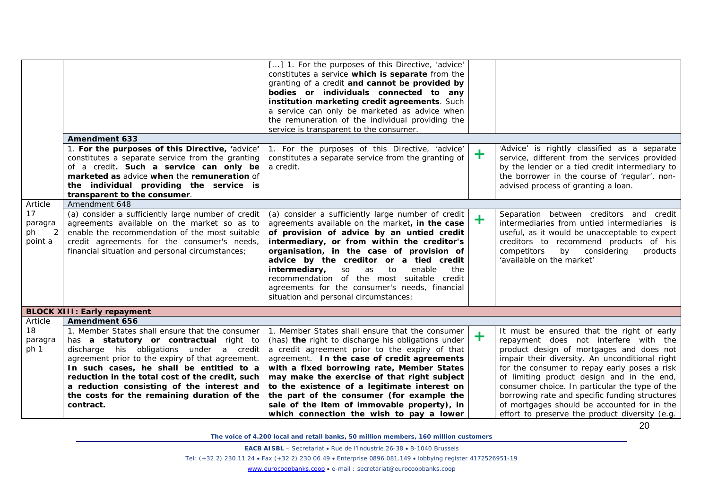|                                     |                                                                                                                                                                                                                                                                                                                                                                                                     | [] 1. For the purposes of this Directive, 'advice'<br>constitutes a service which is separate from the<br>granting of a credit and cannot be provided by<br>bodies or individuals connected to any<br>institution marketing credit agreements. Such<br>a service can only be marketed as advice when<br>the remuneration of the individual providing the<br>service is transparent to the consumer.                                                                                     |         |                                                                                                                                                                                                                                                                                                                                                                                                                                    |
|-------------------------------------|-----------------------------------------------------------------------------------------------------------------------------------------------------------------------------------------------------------------------------------------------------------------------------------------------------------------------------------------------------------------------------------------------------|-----------------------------------------------------------------------------------------------------------------------------------------------------------------------------------------------------------------------------------------------------------------------------------------------------------------------------------------------------------------------------------------------------------------------------------------------------------------------------------------|---------|------------------------------------------------------------------------------------------------------------------------------------------------------------------------------------------------------------------------------------------------------------------------------------------------------------------------------------------------------------------------------------------------------------------------------------|
|                                     | <b>Amendment 633</b>                                                                                                                                                                                                                                                                                                                                                                                |                                                                                                                                                                                                                                                                                                                                                                                                                                                                                         |         |                                                                                                                                                                                                                                                                                                                                                                                                                                    |
|                                     | 1. For the purposes of this Directive, 'advice'<br>constitutes a separate service from the granting<br>of a credit. Such a service can only be<br>marketed as advice when the remuneration of<br>the individual providing the service is<br>transparent to the consumer.                                                                                                                            | 1. For the purposes of this Directive, 'advice'<br>constitutes a separate service from the granting of<br>a credit.                                                                                                                                                                                                                                                                                                                                                                     | $\pm$   | 'Advice' is rightly classified as a separate<br>service, different from the services provided<br>by the lender or a tied credit intermediary to<br>the borrower in the course of 'regular', non-<br>advised process of granting a loan.                                                                                                                                                                                            |
| Article                             | Amendment 648                                                                                                                                                                                                                                                                                                                                                                                       |                                                                                                                                                                                                                                                                                                                                                                                                                                                                                         |         |                                                                                                                                                                                                                                                                                                                                                                                                                                    |
| 17<br>paragra<br>2<br>ph<br>point a | (a) consider a sufficiently large number of credit<br>agreements available on the market so as to<br>enable the recommendation of the most suitable<br>credit agreements for the consumer's needs,<br>financial situation and personal circumstances;                                                                                                                                               | (a) consider a sufficiently large number of credit<br>agreements available on the market, in the case<br>of provision of advice by an untied credit<br>intermediary, or from within the creditor's<br>organisation, in the case of provision of<br>advice by the creditor or a tied credit<br>to<br>intermediary,<br>SO<br>enable<br>as<br>the<br>recommendation of the most suitable credit<br>agreements for the consumer's needs, financial<br>situation and personal circumstances; | $\ddag$ | Separation between creditors and credit<br>intermediaries from untied intermediaries is<br>useful, as it would be unacceptable to expect<br>creditors to recommend products of his<br>competitors<br>by considering<br>products<br>'available on the market'                                                                                                                                                                       |
|                                     | <b>BLOCK XIII: Early repayment</b>                                                                                                                                                                                                                                                                                                                                                                  |                                                                                                                                                                                                                                                                                                                                                                                                                                                                                         |         |                                                                                                                                                                                                                                                                                                                                                                                                                                    |
| Article                             | Amendment 656                                                                                                                                                                                                                                                                                                                                                                                       |                                                                                                                                                                                                                                                                                                                                                                                                                                                                                         |         |                                                                                                                                                                                                                                                                                                                                                                                                                                    |
| 18<br>paragra<br>ph 1               | 1. Member States shall ensure that the consumer<br>has a statutory or contractual right to<br>discharge his obligations under a credit<br>agreement prior to the expiry of that agreement.<br>In such cases, he shall be entitled to a<br>reduction in the total cost of the credit, such<br>a reduction consisting of the interest and<br>the costs for the remaining duration of the<br>contract. | 1. Member States shall ensure that the consumer<br>(has) the right to discharge his obligations under<br>a credit agreement prior to the expiry of that<br>agreement. In the case of credit agreements<br>with a fixed borrowing rate, Member States<br>may make the exercise of that right subject<br>to the existence of a legitimate interest on<br>the part of the consumer (for example the<br>sale of the item of immovable property), in                                         | $\pm$   | It must be ensured that the right of early<br>repayment does not interfere with the<br>product design of mortgages and does not<br>impair their diversity. An unconditional right<br>for the consumer to repay early poses a risk<br>of limiting product design and in the end,<br>consumer choice. In particular the type of the<br>borrowing rate and specific funding structures<br>of mortgages should be accounted for in the |
|                                     |                                                                                                                                                                                                                                                                                                                                                                                                     | which connection the wish to pay a lower                                                                                                                                                                                                                                                                                                                                                                                                                                                |         | effort to preserve the product diversity (e.g.                                                                                                                                                                                                                                                                                                                                                                                     |

**EACB AISBL** – Secretariat • Rue de l'Industrie 26-38 • B-1040 Brussels

Tel: (+32 2) 230 11 24 • Fax (+32 2) 230 06 49 • Enterprise 0896.081.149 • lobbying register 4172526951-19

[www.eurocoopbanks.coop](http://www.eurocoopbanks.coop/) • e-mail : secretariat@eurocoopbanks.coop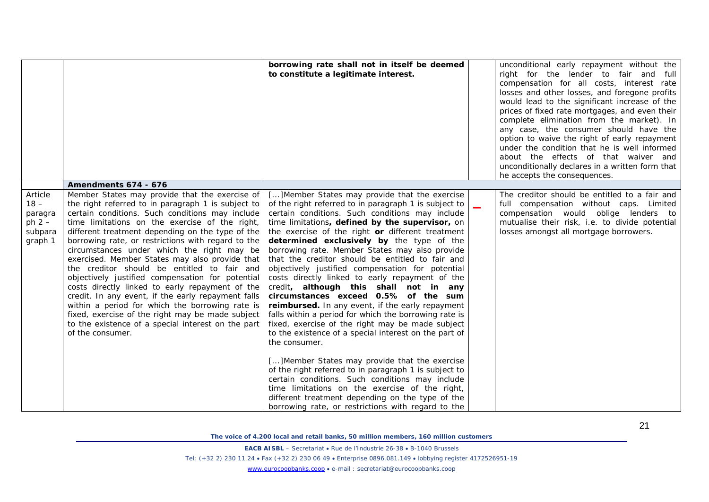|                                                                |                                                                                                                                                                                                                                                                                                                                                                                                                                                                                                                                                                                                                                                                                                                                                                                                                  | borrowing rate shall not in itself be deemed<br>to constitute a legitimate interest.                                                                                                                                                                                                                                                                                                                                                                                                                                                                                                                                                                                                                                                                                                                                                                                                                                                                                                                                                                                                                                         | unconditional early repayment without the<br>right for the lender to fair and full<br>compensation for all costs, interest rate<br>losses and other losses, and foregone profits<br>would lead to the significant increase of the<br>prices of fixed rate mortgages, and even their<br>complete elimination from the market). In<br>any case, the consumer should have the<br>option to waive the right of early repayment<br>under the condition that he is well informed<br>about the effects of that waiver and<br>unconditionally declares in a written form that<br>he accepts the consequences. |
|----------------------------------------------------------------|------------------------------------------------------------------------------------------------------------------------------------------------------------------------------------------------------------------------------------------------------------------------------------------------------------------------------------------------------------------------------------------------------------------------------------------------------------------------------------------------------------------------------------------------------------------------------------------------------------------------------------------------------------------------------------------------------------------------------------------------------------------------------------------------------------------|------------------------------------------------------------------------------------------------------------------------------------------------------------------------------------------------------------------------------------------------------------------------------------------------------------------------------------------------------------------------------------------------------------------------------------------------------------------------------------------------------------------------------------------------------------------------------------------------------------------------------------------------------------------------------------------------------------------------------------------------------------------------------------------------------------------------------------------------------------------------------------------------------------------------------------------------------------------------------------------------------------------------------------------------------------------------------------------------------------------------------|-------------------------------------------------------------------------------------------------------------------------------------------------------------------------------------------------------------------------------------------------------------------------------------------------------------------------------------------------------------------------------------------------------------------------------------------------------------------------------------------------------------------------------------------------------------------------------------------------------|
|                                                                | Amendments 674 - 676                                                                                                                                                                                                                                                                                                                                                                                                                                                                                                                                                                                                                                                                                                                                                                                             |                                                                                                                                                                                                                                                                                                                                                                                                                                                                                                                                                                                                                                                                                                                                                                                                                                                                                                                                                                                                                                                                                                                              |                                                                                                                                                                                                                                                                                                                                                                                                                                                                                                                                                                                                       |
| Article<br>$18 -$<br>paragra<br>ph $2 -$<br>subpara<br>graph 1 | Member States may provide that the exercise of<br>the right referred to in paragraph 1 is subject to<br>certain conditions. Such conditions may include<br>time limitations on the exercise of the right,<br>different treatment depending on the type of the<br>borrowing rate, or restrictions with regard to the<br>circumstances under which the right may be<br>exercised. Member States may also provide that<br>the creditor should be entitled to fair and<br>objectively justified compensation for potential<br>costs directly linked to early repayment of the<br>credit. In any event, if the early repayment falls<br>within a period for which the borrowing rate is<br>fixed, exercise of the right may be made subject<br>to the existence of a special interest on the part<br>of the consumer. | [] Member States may provide that the exercise<br>of the right referred to in paragraph 1 is subject to<br>certain conditions. Such conditions may include<br>time limitations, defined by the supervisor, on<br>the exercise of the right or different treatment<br>determined exclusively by the type of the<br>borrowing rate. Member States may also provide<br>that the creditor should be entitled to fair and<br>objectively justified compensation for potential<br>costs directly linked to early repayment of the<br>credit, although this shall not in any<br>circumstances exceed 0.5% of the sum<br>reimbursed. In any event, if the early repayment<br>falls within a period for which the borrowing rate is<br>fixed, exercise of the right may be made subject<br>to the existence of a special interest on the part of<br>the consumer.<br>[] Member States may provide that the exercise<br>of the right referred to in paragraph 1 is subject to<br>certain conditions. Such conditions may include<br>time limitations on the exercise of the right,<br>different treatment depending on the type of the | The creditor should be entitled to a fair and<br>full compensation without caps. Limited<br>compensation would oblige lenders to<br>mutualise their risk, i.e. to divide potential<br>losses amongst all mortgage borrowers.                                                                                                                                                                                                                                                                                                                                                                          |

**EACB AISBL** – Secretariat • Rue de l'Industrie 26-38 • B-1040 Brussels

Tel: (+32 2) 230 11 24 • Fax (+32 2) 230 06 49 • Enterprise 0896.081.149 • lobbying register 4172526951-19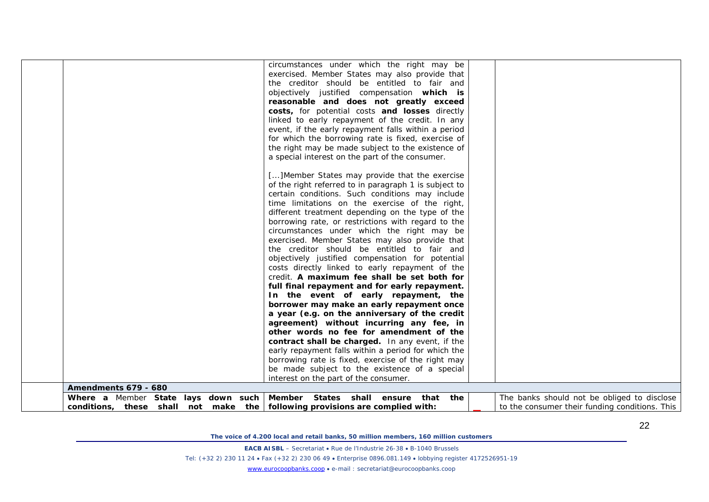| Amendments 679 - 680                                                         | objectively justified compensation which is<br>reasonable and does not greatly exceed<br>costs, for potential costs and losses directly<br>linked to early repayment of the credit. In any<br>event, if the early repayment falls within a period<br>for which the borrowing rate is fixed, exercise of<br>the right may be made subject to the existence of<br>a special interest on the part of the consumer.<br>[] Member States may provide that the exercise<br>of the right referred to in paragraph 1 is subject to<br>certain conditions. Such conditions may include<br>time limitations on the exercise of the right,<br>different treatment depending on the type of the<br>borrowing rate, or restrictions with regard to the<br>circumstances under which the right may be<br>exercised. Member States may also provide that<br>the creditor should be entitled to fair and<br>objectively justified compensation for potential<br>costs directly linked to early repayment of the<br>credit. A maximum fee shall be set both for<br>full final repayment and for early repayment.<br>In the event of early repayment, the<br>borrower may make an early repayment once<br>a year (e.g. on the anniversary of the credit<br>agreement) without incurring any fee, in<br>other words no fee for amendment of the<br>contract shall be charged. In any event, if the<br>early repayment falls within a period for which the<br>borrowing rate is fixed, exercise of the right may<br>be made subject to the existence of a special<br>interest on the part of the consumer.<br>Where a Member State lays down such Member States shall ensure that the | The banks should not be obliged to disclose    |
|------------------------------------------------------------------------------|-------------------------------------------------------------------------------------------------------------------------------------------------------------------------------------------------------------------------------------------------------------------------------------------------------------------------------------------------------------------------------------------------------------------------------------------------------------------------------------------------------------------------------------------------------------------------------------------------------------------------------------------------------------------------------------------------------------------------------------------------------------------------------------------------------------------------------------------------------------------------------------------------------------------------------------------------------------------------------------------------------------------------------------------------------------------------------------------------------------------------------------------------------------------------------------------------------------------------------------------------------------------------------------------------------------------------------------------------------------------------------------------------------------------------------------------------------------------------------------------------------------------------------------------------------------------------------------------------------------------------------------------------------------------|------------------------------------------------|
| conditions, these shall not make the following provisions are complied with: |                                                                                                                                                                                                                                                                                                                                                                                                                                                                                                                                                                                                                                                                                                                                                                                                                                                                                                                                                                                                                                                                                                                                                                                                                                                                                                                                                                                                                                                                                                                                                                                                                                                                   | to the consumer their funding conditions. This |

**EACB AISBL** – Secretariat • Rue de l'Industrie 26-38 • B-1040 Brussels

Tel: (+32 2) 230 11 24 • Fax (+32 2) 230 06 49 • Enterprise 0896.081.149 • lobbying register 4172526951-19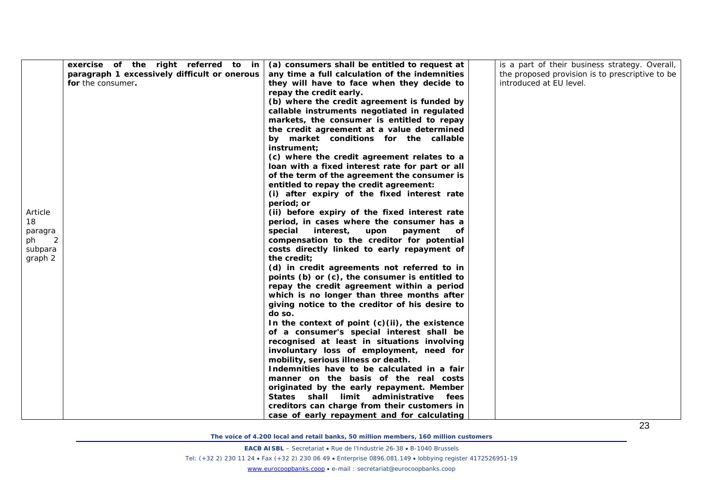| Article<br>18<br>paragra<br>ph<br>-2<br>subpara<br>graph 2 | exercise of the right referred to in<br>paragraph 1 excessively difficult or onerous<br>for the consumer. | (a) consumers shall be entitled to request at<br>any time a full calculation of the indemnities<br>they will have to face when they decide to<br>repay the credit early.<br>(b) where the credit agreement is funded by<br>callable instruments negotiated in regulated<br>markets, the consumer is entitled to repay<br>the credit agreement at a value determined<br>by market conditions for the callable<br>instrument:<br>(c) where the credit agreement relates to a<br>loan with a fixed interest rate for part or all<br>of the term of the agreement the consumer is<br>entitled to repay the credit agreement:<br>(i) after expiry of the fixed interest rate<br>period; or<br>(ii) before expiry of the fixed interest rate<br>period, in cases where the consumer has a<br>interest, upon payment<br>special<br>οf<br>compensation to the creditor for potential<br>costs directly linked to early repayment of<br>the credit;<br>(d) in credit agreements not referred to in<br>points (b) or (c), the consumer is entitled to<br>repay the credit agreement within a period<br>which is no longer than three months after<br>giving notice to the creditor of his desire to<br>do so.<br>In the context of point $(c)(ii)$ , the existence<br>of a consumer's special interest shall be<br>recognised at least in situations involving<br>involuntary loss of employment, need for<br>mobility, serious illness or death.<br>Indemnities have to be calculated in a fair<br>manner on the basis of the real costs<br>originated by the early repayment. Member<br>States shall limit administrative<br>fees<br>creditors can charge from their customers in<br>case of early repayment and for calculating | is a part of their business strategy. Overall,<br>the proposed provision is to prescriptive to be<br>introduced at EU level. |
|------------------------------------------------------------|-----------------------------------------------------------------------------------------------------------|--------------------------------------------------------------------------------------------------------------------------------------------------------------------------------------------------------------------------------------------------------------------------------------------------------------------------------------------------------------------------------------------------------------------------------------------------------------------------------------------------------------------------------------------------------------------------------------------------------------------------------------------------------------------------------------------------------------------------------------------------------------------------------------------------------------------------------------------------------------------------------------------------------------------------------------------------------------------------------------------------------------------------------------------------------------------------------------------------------------------------------------------------------------------------------------------------------------------------------------------------------------------------------------------------------------------------------------------------------------------------------------------------------------------------------------------------------------------------------------------------------------------------------------------------------------------------------------------------------------------------------------------------------------------------------------------------------------------------|------------------------------------------------------------------------------------------------------------------------------|

**EACB AISBL** – Secretariat • Rue de l'Industrie 26-38 • B-1040 Brussels

Tel: (+32 2) 230 11 24 • Fax (+32 2) 230 06 49 • Enterprise 0896.081.149 • lobbying register 4172526951-19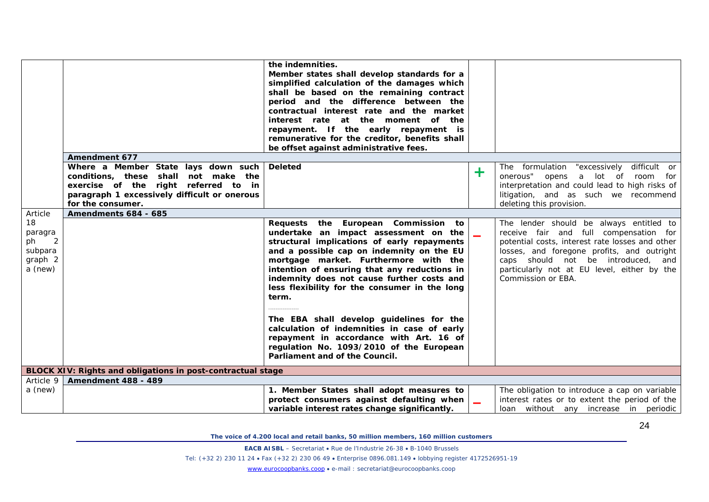|                                                                        |                                                                                                                                                                                                                  | the indemnities.<br>Member states shall develop standards for a<br>simplified calculation of the damages which<br>shall be based on the remaining contract<br>period and the difference between the<br>contractual interest rate and the market<br>interest rate at the moment of the<br>repayment. If the early repayment is<br>remunerative for the creditor, benefits shall<br>be offset against administrative fees.                                                                                                                                                                      |   |                                                                                                                                                                                                                                                                                               |
|------------------------------------------------------------------------|------------------------------------------------------------------------------------------------------------------------------------------------------------------------------------------------------------------|-----------------------------------------------------------------------------------------------------------------------------------------------------------------------------------------------------------------------------------------------------------------------------------------------------------------------------------------------------------------------------------------------------------------------------------------------------------------------------------------------------------------------------------------------------------------------------------------------|---|-----------------------------------------------------------------------------------------------------------------------------------------------------------------------------------------------------------------------------------------------------------------------------------------------|
|                                                                        | <b>Amendment 677</b><br>Where a Member State lays down such<br>conditions, these shall not make the<br>exercise of the right referred to in<br>paragraph 1 excessively difficult or onerous<br>for the consumer. | <b>Deleted</b>                                                                                                                                                                                                                                                                                                                                                                                                                                                                                                                                                                                | ╋ | The formulation "excessively difficult or<br>onerous" opens a lot of room for<br>interpretation and could lead to high risks of<br>litigation, and as such we recommend<br>deleting this provision.                                                                                           |
| Article                                                                | Amendments 684 - 685                                                                                                                                                                                             |                                                                                                                                                                                                                                                                                                                                                                                                                                                                                                                                                                                               |   |                                                                                                                                                                                                                                                                                               |
| 18<br>paragra<br>$\overline{2}$<br>ph<br>subpara<br>graph 2<br>a (new) |                                                                                                                                                                                                                  | Requests the European Commission to<br>undertake an impact assessment on the<br>structural implications of early repayments<br>and a possible cap on indemnity on the EU<br>mortgage market. Furthermore with the<br>intention of ensuring that any reductions in<br>indemnity does not cause further costs and<br>less flexibility for the consumer in the long<br>term.<br>The EBA shall develop guidelines for the<br>calculation of indemnities in case of early<br>repayment in accordance with Art. 16 of<br>regulation No. 1093/2010 of the European<br>Parliament and of the Council. |   | The lender should be always entitled to<br>receive fair and full compensation for<br>potential costs, interest rate losses and other<br>losses, and foregone profits, and outright<br>caps should not be introduced, and<br>particularly not at EU level, either by the<br>Commission or EBA. |
|                                                                        | BLOCK XIV: Rights and obligations in post-contractual stage                                                                                                                                                      |                                                                                                                                                                                                                                                                                                                                                                                                                                                                                                                                                                                               |   |                                                                                                                                                                                                                                                                                               |
| Article 9                                                              | <b>Amendment 488 - 489</b>                                                                                                                                                                                       |                                                                                                                                                                                                                                                                                                                                                                                                                                                                                                                                                                                               |   |                                                                                                                                                                                                                                                                                               |
| a (new)                                                                |                                                                                                                                                                                                                  | 1. Member States shall adopt measures to<br>protect consumers against defaulting when<br>variable interest rates change significantly.                                                                                                                                                                                                                                                                                                                                                                                                                                                        |   | The obligation to introduce a cap on variable<br>interest rates or to extent the period of the<br>loan without any increase in periodic                                                                                                                                                       |

**EACB AISBL** – Secretariat • Rue de l'Industrie 26-38 • B-1040 Brussels

Tel: (+32 2) 230 11 24 • Fax (+32 2) 230 06 49 • Enterprise 0896.081.149 • lobbying register 4172526951-19

[www.eurocoopbanks.coop](http://www.eurocoopbanks.coop/) • e-mail : secretariat@eurocoopbanks.coop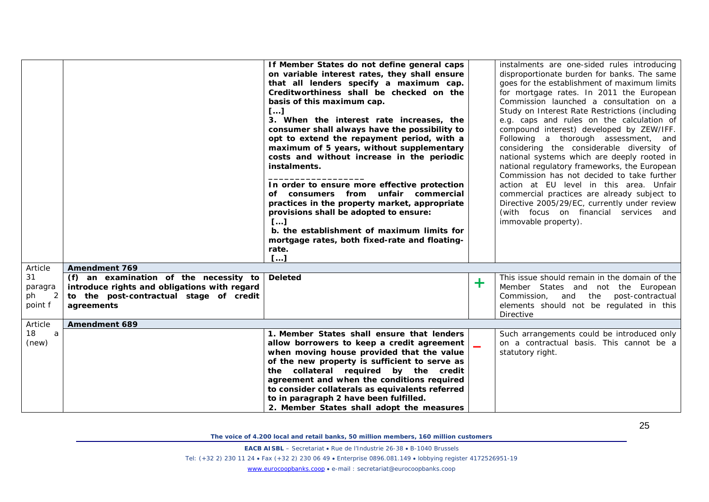|                                      |                                                                                                                                                 | If Member States do not define general caps<br>on variable interest rates, they shall ensure<br>that all lenders specify a maximum cap.<br>Creditworthiness shall be checked on the<br>basis of this maximum cap.<br>$\boldsymbol{I} \cdots \boldsymbol{J}$<br>3. When the interest rate increases, the<br>consumer shall always have the possibility to<br>opt to extend the repayment period, with a<br>maximum of 5 years, without supplementary<br>costs and without increase in the periodic<br>instalments.<br>In order to ensure more effective protection<br>of consumers from unfair commercial<br>practices in the property market, appropriate<br>provisions shall be adopted to ensure:<br>L<br>b. the establishment of maximum limits for<br>mortgage rates, both fixed-rate and floating-<br>rate.<br>$\left[\ldots\right]$ |                          | instalments are one-sided rules introducing<br>disproportionate burden for banks. The same<br>goes for the establishment of maximum limits<br>for mortgage rates. In 2011 the European<br>Commission launched a consultation on a<br>Study on Interest Rate Restrictions (including<br>e.g. caps and rules on the calculation of<br>compound interest) developed by ZEW/IFF.<br>Following a thorough assessment, and<br>considering the considerable diversity of<br>national systems which are deeply rooted in<br>national regulatory frameworks, the European<br>Commission has not decided to take further<br>action at EU level in this area. Unfair<br>commercial practices are already subject to<br>Directive 2005/29/EC, currently under review<br>(with focus on financial services and<br>immovable property). |
|--------------------------------------|-------------------------------------------------------------------------------------------------------------------------------------------------|-------------------------------------------------------------------------------------------------------------------------------------------------------------------------------------------------------------------------------------------------------------------------------------------------------------------------------------------------------------------------------------------------------------------------------------------------------------------------------------------------------------------------------------------------------------------------------------------------------------------------------------------------------------------------------------------------------------------------------------------------------------------------------------------------------------------------------------------|--------------------------|---------------------------------------------------------------------------------------------------------------------------------------------------------------------------------------------------------------------------------------------------------------------------------------------------------------------------------------------------------------------------------------------------------------------------------------------------------------------------------------------------------------------------------------------------------------------------------------------------------------------------------------------------------------------------------------------------------------------------------------------------------------------------------------------------------------------------|
| Article                              | <b>Amendment 769</b>                                                                                                                            |                                                                                                                                                                                                                                                                                                                                                                                                                                                                                                                                                                                                                                                                                                                                                                                                                                           |                          |                                                                                                                                                                                                                                                                                                                                                                                                                                                                                                                                                                                                                                                                                                                                                                                                                           |
| 31<br>paragra<br>2<br>ph.<br>point f | (f) an examination of the necessity to<br>introduce rights and obligations with regard<br>to the post-contractual stage of credit<br>agreements | <b>Deleted</b>                                                                                                                                                                                                                                                                                                                                                                                                                                                                                                                                                                                                                                                                                                                                                                                                                            | $\pm$                    | This issue should remain in the domain of the<br>Member States and not the European<br>Commission, and the post-contractual<br>elements should not be regulated in this<br><b>Directive</b>                                                                                                                                                                                                                                                                                                                                                                                                                                                                                                                                                                                                                               |
| Article                              | Amendment 689                                                                                                                                   |                                                                                                                                                                                                                                                                                                                                                                                                                                                                                                                                                                                                                                                                                                                                                                                                                                           |                          |                                                                                                                                                                                                                                                                                                                                                                                                                                                                                                                                                                                                                                                                                                                                                                                                                           |
| 18<br>a<br>(new)                     |                                                                                                                                                 | 1. Member States shall ensure that lenders<br>allow borrowers to keep a credit agreement<br>when moving house provided that the value<br>of the new property is sufficient to serve as<br>the collateral required by the credit<br>agreement and when the conditions required<br>to consider collaterals as equivalents referred<br>to in paragraph 2 have been fulfilled.<br>2. Member States shall adopt the measures                                                                                                                                                                                                                                                                                                                                                                                                                   | $\overline{\phantom{0}}$ | Such arrangements could be introduced only<br>on a contractual basis. This cannot be a<br>statutory right.                                                                                                                                                                                                                                                                                                                                                                                                                                                                                                                                                                                                                                                                                                                |

**EACB AISBL** – Secretariat • Rue de l'Industrie 26-38 • B-1040 Brussels

Tel: (+32 2) 230 11 24 • Fax (+32 2) 230 06 49 • Enterprise 0896.081.149 • lobbying register 4172526951-19

[www.eurocoopbanks.coop](http://www.eurocoopbanks.coop/) • e-mail : secretariat@eurocoopbanks.coop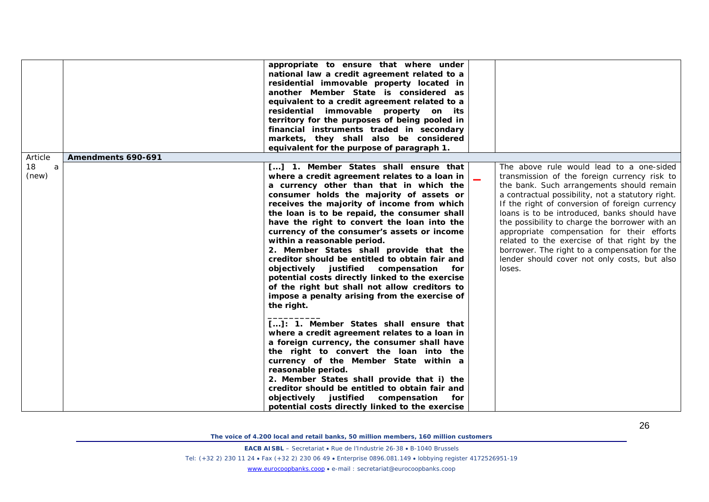|         |                    | appropriate to ensure that where under<br>national law a credit agreement related to a<br>residential immovable property located in<br>another Member State is considered as<br>equivalent to a credit agreement related to a<br>residential immovable property on its |                                                   |
|---------|--------------------|------------------------------------------------------------------------------------------------------------------------------------------------------------------------------------------------------------------------------------------------------------------------|---------------------------------------------------|
|         |                    | territory for the purposes of being pooled in                                                                                                                                                                                                                          |                                                   |
|         |                    | financial instruments traded in secondary                                                                                                                                                                                                                              |                                                   |
|         |                    | markets, they shall also be considered                                                                                                                                                                                                                                 |                                                   |
|         |                    | equivalent for the purpose of paragraph 1.                                                                                                                                                                                                                             |                                                   |
| Article | Amendments 690-691 |                                                                                                                                                                                                                                                                        |                                                   |
| 18<br>a |                    | [] 1. Member States shall ensure that                                                                                                                                                                                                                                  | The above rule would lead to a one-sided          |
| (new)   |                    | where a credit agreement relates to a loan in                                                                                                                                                                                                                          | transmission of the foreign currency risk to      |
|         |                    | a currency other than that in which the                                                                                                                                                                                                                                | the bank. Such arrangements should remain         |
|         |                    | consumer holds the majority of assets or                                                                                                                                                                                                                               | a contractual possibility, not a statutory right. |
|         |                    | receives the majority of income from which                                                                                                                                                                                                                             | If the right of conversion of foreign currency    |
|         |                    | the loan is to be repaid, the consumer shall                                                                                                                                                                                                                           | loans is to be introduced, banks should have      |
|         |                    | have the right to convert the loan into the                                                                                                                                                                                                                            | the possibility to charge the borrower with an    |
|         |                    | currency of the consumer's assets or income                                                                                                                                                                                                                            | appropriate compensation for their efforts        |
|         |                    | within a reasonable period.                                                                                                                                                                                                                                            | related to the exercise of that right by the      |
|         |                    | 2. Member States shall provide that the                                                                                                                                                                                                                                | borrower. The right to a compensation for the     |
|         |                    | creditor should be entitled to obtain fair and                                                                                                                                                                                                                         | lender should cover not only costs, but also      |
|         |                    | objectively justified compensation<br>for                                                                                                                                                                                                                              | loses.                                            |
|         |                    | potential costs directly linked to the exercise                                                                                                                                                                                                                        |                                                   |
|         |                    | of the right but shall not allow creditors to                                                                                                                                                                                                                          |                                                   |
|         |                    | impose a penalty arising from the exercise of                                                                                                                                                                                                                          |                                                   |
|         |                    | the right.                                                                                                                                                                                                                                                             |                                                   |
|         |                    | []: 1. Member States shall ensure that                                                                                                                                                                                                                                 |                                                   |
|         |                    | where a credit agreement relates to a loan in                                                                                                                                                                                                                          |                                                   |
|         |                    | a foreign currency, the consumer shall have                                                                                                                                                                                                                            |                                                   |
|         |                    | the right to convert the loan into the                                                                                                                                                                                                                                 |                                                   |
|         |                    | currency of the Member State within a                                                                                                                                                                                                                                  |                                                   |
|         |                    | reasonable period.                                                                                                                                                                                                                                                     |                                                   |
|         |                    | 2. Member States shall provide that i) the                                                                                                                                                                                                                             |                                                   |
|         |                    | creditor should be entitled to obtain fair and                                                                                                                                                                                                                         |                                                   |
|         |                    | objectively justified compensation<br>for                                                                                                                                                                                                                              |                                                   |
|         |                    | potential costs directly linked to the exercise                                                                                                                                                                                                                        |                                                   |

**EACB AISBL** – Secretariat • Rue de l'Industrie 26-38 • B-1040 Brussels

Tel: (+32 2) 230 11 24 • Fax (+32 2) 230 06 49 • Enterprise 0896.081.149 • lobbying register 4172526951-19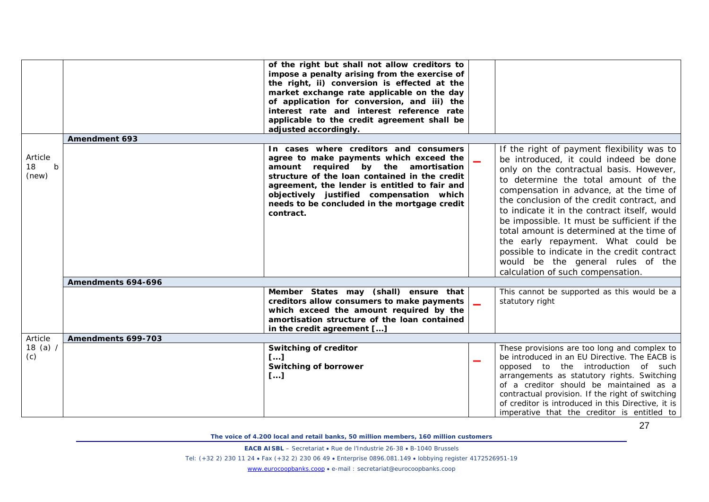|                                       |                      | of the right but shall not allow creditors to<br>impose a penalty arising from the exercise of<br>the right, ii) conversion is effected at the<br>market exchange rate applicable on the day<br>of application for conversion, and iii) the<br>interest rate and interest reference rate<br>applicable to the credit agreement shall be<br>adjusted accordingly. |                          |                                                                                                                                                                                                                                                                                                                                                                                                                                                                                                                                                                             |
|---------------------------------------|----------------------|------------------------------------------------------------------------------------------------------------------------------------------------------------------------------------------------------------------------------------------------------------------------------------------------------------------------------------------------------------------|--------------------------|-----------------------------------------------------------------------------------------------------------------------------------------------------------------------------------------------------------------------------------------------------------------------------------------------------------------------------------------------------------------------------------------------------------------------------------------------------------------------------------------------------------------------------------------------------------------------------|
|                                       | <b>Amendment 693</b> |                                                                                                                                                                                                                                                                                                                                                                  |                          |                                                                                                                                                                                                                                                                                                                                                                                                                                                                                                                                                                             |
| Article<br>18<br>$\mathbf b$<br>(new) |                      | In cases where creditors and consumers<br>agree to make payments which exceed the<br>amount required by the amortisation<br>structure of the loan contained in the credit<br>agreement, the lender is entitled to fair and<br>objectively justified compensation which<br>needs to be concluded in the mortgage credit<br>contract.                              | $\overline{\phantom{a}}$ | If the right of payment flexibility was to<br>be introduced, it could indeed be done<br>only on the contractual basis. However,<br>to determine the total amount of the<br>compensation in advance, at the time of<br>the conclusion of the credit contract, and<br>to indicate it in the contract itself, would<br>be impossible. It must be sufficient if the<br>total amount is determined at the time of<br>the early repayment. What could be<br>possible to indicate in the credit contract<br>would be the general rules of the<br>calculation of such compensation. |
|                                       | Amendments 694-696   |                                                                                                                                                                                                                                                                                                                                                                  |                          |                                                                                                                                                                                                                                                                                                                                                                                                                                                                                                                                                                             |
|                                       |                      | Member States may (shall) ensure that<br>creditors allow consumers to make payments<br>which exceed the amount required by the<br>amortisation structure of the loan contained<br>in the credit agreement []                                                                                                                                                     |                          | This cannot be supported as this would be a<br>statutory right                                                                                                                                                                                                                                                                                                                                                                                                                                                                                                              |
| Article                               | Amendments 699-703   |                                                                                                                                                                                                                                                                                                                                                                  |                          |                                                                                                                                                                                                                                                                                                                                                                                                                                                                                                                                                                             |
| $18$ (a) /<br>(c)                     |                      | <b>Switching of creditor</b><br>L<br><b>Switching of borrower</b><br>[]                                                                                                                                                                                                                                                                                          |                          | These provisions are too long and complex to<br>be introduced in an EU Directive. The EACB is<br>opposed to the introduction of such<br>arrangements as statutory rights. Switching<br>of a creditor should be maintained as a<br>contractual provision. If the right of switching<br>of creditor is introduced in this Directive, it is<br>imperative that the creditor is entitled to                                                                                                                                                                                     |

27

*The voice of 4.200 local and retail banks, 50 million members, 160 million customers*

**EACB AISBL** – Secretariat • Rue de l'Industrie 26-38 • B-1040 Brussels

Tel: (+32 2) 230 11 24 • Fax (+32 2) 230 06 49 • Enterprise 0896.081.149 • lobbying register 4172526951-19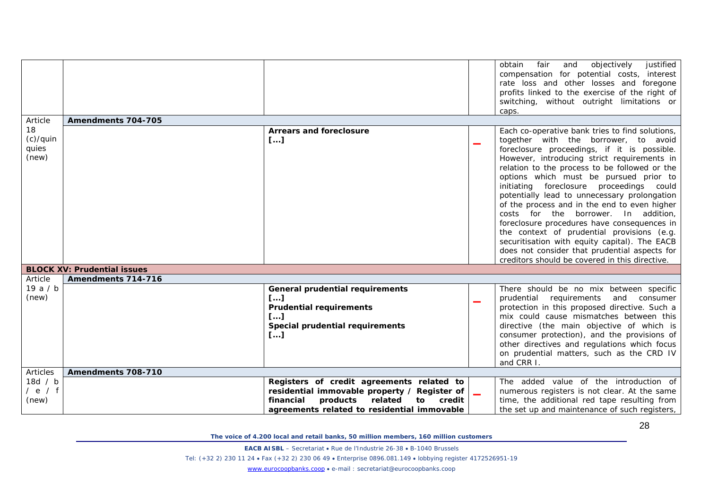| obtain                                                                                                            |                                                                                                                                                                                                                                                                                                                                                                                                                                                                                                                                                                                                                                                                                                                       |
|-------------------------------------------------------------------------------------------------------------------|-----------------------------------------------------------------------------------------------------------------------------------------------------------------------------------------------------------------------------------------------------------------------------------------------------------------------------------------------------------------------------------------------------------------------------------------------------------------------------------------------------------------------------------------------------------------------------------------------------------------------------------------------------------------------------------------------------------------------|
| caps.<br>Amendments 704-705<br>Article                                                                            | justified<br>fair<br>and<br>objectively<br>compensation for potential costs, interest<br>rate loss and other losses and foregone<br>profits linked to the exercise of the right of<br>switching, without outright limitations or                                                                                                                                                                                                                                                                                                                                                                                                                                                                                      |
|                                                                                                                   |                                                                                                                                                                                                                                                                                                                                                                                                                                                                                                                                                                                                                                                                                                                       |
| 18<br><b>Arrears and foreclosure</b><br>$(c)/q$ uin<br>[]<br>quies<br>(new)                                       | Each co-operative bank tries to find solutions,<br>together with the borrower, to avoid<br>foreclosure proceedings, if it is possible.<br>However, introducing strict requirements in<br>relation to the process to be followed or the<br>options which must be pursued prior to<br>initiating foreclosure proceedings could<br>potentially lead to unnecessary prolongation<br>of the process and in the end to even higher<br>costs for the borrower. In addition,<br>foreclosure procedures have consequences in<br>the context of prudential provisions (e.g.<br>securitisation with equity capital). The EACB<br>does not consider that prudential aspects for<br>creditors should be covered in this directive. |
| <b>BLOCK XV: Prudential issues</b>                                                                                |                                                                                                                                                                                                                                                                                                                                                                                                                                                                                                                                                                                                                                                                                                                       |
| Article<br>Amendments 714-716                                                                                     |                                                                                                                                                                                                                                                                                                                                                                                                                                                                                                                                                                                                                                                                                                                       |
| 19a/b<br><b>General prudential requirements</b>                                                                   | There should be no mix between specific                                                                                                                                                                                                                                                                                                                                                                                                                                                                                                                                                                                                                                                                               |
| (new)<br>[]<br><b>Prudential requirements</b><br>II<br>Special prudential requirements<br>$\left[ \ldots \right]$ | prudential requirements<br>and consumer<br>protection in this proposed directive. Such a<br>mix could cause mismatches between this<br>directive (the main objective of which is<br>consumer protection), and the provisions of<br>other directives and regulations which focus<br>on prudential matters, such as the CRD IV<br>and CRR I                                                                                                                                                                                                                                                                                                                                                                             |
| Articles<br>Amendments 708-710                                                                                    |                                                                                                                                                                                                                                                                                                                                                                                                                                                                                                                                                                                                                                                                                                                       |
| 18d / b<br>Registers of credit agreements related to                                                              | The added value of the introduction of                                                                                                                                                                                                                                                                                                                                                                                                                                                                                                                                                                                                                                                                                |
| / e / f<br>residential immovable property / Register of                                                           | numerous registers is not clear. At the same                                                                                                                                                                                                                                                                                                                                                                                                                                                                                                                                                                                                                                                                          |
| (new)<br>related<br>financial<br>products<br>to to<br>credit<br>agreements related to residential immovable       | time, the additional red tape resulting from<br>the set up and maintenance of such registers,                                                                                                                                                                                                                                                                                                                                                                                                                                                                                                                                                                                                                         |

**EACB AISBL** – Secretariat • Rue de l'Industrie 26-38 • B-1040 Brussels

Tel: (+32 2) 230 11 24 • Fax (+32 2) 230 06 49 • Enterprise 0896.081.149 • lobbying register 4172526951-19